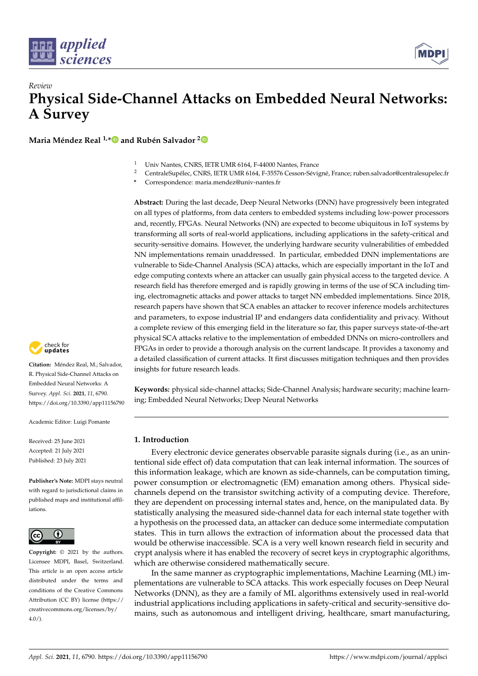

# *Review* **Physical Side-Channel Attacks on Embedded Neural Networks: A Survey**

**Maria Méndez Real 1,[\\*](https://orcid.org/0000-0002-9336-9936) and Rubén Salvador [2](https://orcid.org/0000-0002-0021-5808)**



<sup>2</sup> CentraleSupélec, CNRS, IETR UMR 6164, F-35576 Cesson-Sévigné, France; ruben.salvador@centralesupelec.fr

**\*** Correspondence: maria.mendez@univ-nantes.fr

**Abstract:** During the last decade, Deep Neural Networks (DNN) have progressively been integrated on all types of platforms, from data centers to embedded systems including low-power processors and, recently, FPGAs. Neural Networks (NN) are expected to become ubiquitous in IoT systems by transforming all sorts of real-world applications, including applications in the safety-critical and security-sensitive domains. However, the underlying hardware security vulnerabilities of embedded NN implementations remain unaddressed. In particular, embedded DNN implementations are vulnerable to Side-Channel Analysis (SCA) attacks, which are especially important in the IoT and edge computing contexts where an attacker can usually gain physical access to the targeted device. A research field has therefore emerged and is rapidly growing in terms of the use of SCA including timing, electromagnetic attacks and power attacks to target NN embedded implementations. Since 2018, research papers have shown that SCA enables an attacker to recover inference models architectures and parameters, to expose industrial IP and endangers data confidentiality and privacy. Without a complete review of this emerging field in the literature so far, this paper surveys state-of-the-art physical SCA attacks relative to the implementation of embedded DNNs on micro-controllers and FPGAs in order to provide a thorough analysis on the current landscape. It provides a taxonomy and a detailed classification of current attacks. It first discusses mitigation techniques and then provides insights for future research leads.

**Keywords:** physical side-channel attacks; Side-Channel Analysis; hardware security; machine learning; Embedded Neural Networks; Deep Neural Networks

# **1. Introduction**

Every electronic device generates observable parasite signals during (i.e., as an unintentional side effect of) data computation that can leak internal information. The sources of this information leakage, which are known as side-channels, can be computation timing, power consumption or electromagnetic (EM) emanation among others. Physical sidechannels depend on the transistor switching activity of a computing device. Therefore, they are dependent on processing internal states and, hence, on the manipulated data. By statistically analysing the measured side-channel data for each internal state together with a hypothesis on the processed data, an attacker can deduce some intermediate computation states. This in turn allows the extraction of information about the processed data that would be otherwise inaccessible. SCA is a very well known research field in security and crypt analysis where it has enabled the recovery of secret keys in cryptographic algorithms, which are otherwise considered mathematically secure.

In the same manner as cryptographic implementations, Machine Learning (ML) implementations are vulnerable to SCA attacks. This work especially focuses on Deep Neural Networks (DNN), as they are a family of ML algorithms extensively used in real-world industrial applications including applications in safety-critical and security-sensitive domains, such as autonomous and intelligent driving, healthcare, smart manufacturing,



**Citation:** Méndez Real, M.; Salvador, R. Physical Side-Channel Attacks on Embedded Neural Networks: A Survey. *Appl. Sci.* **2021**, *11*, 6790. <https://doi.org/10.3390/app11156790>

Academic Editor: Luigi Pomante

Received: 25 June 2021 Accepted: 21 July 2021 Published: 23 July 2021

**Publisher's Note:** MDPI stays neutral with regard to jurisdictional claims in published maps and institutional affiliations.



**Copyright:** © 2021 by the authors. Licensee MDPI, Basel, Switzerland. This article is an open access article distributed under the terms and conditions of the Creative Commons Attribution (CC BY) license (https:/[/](https://creativecommons.org/licenses/by/4.0/) [creativecommons.org/licenses/by/](https://creativecommons.org/licenses/by/4.0/)  $4.0/$ ).

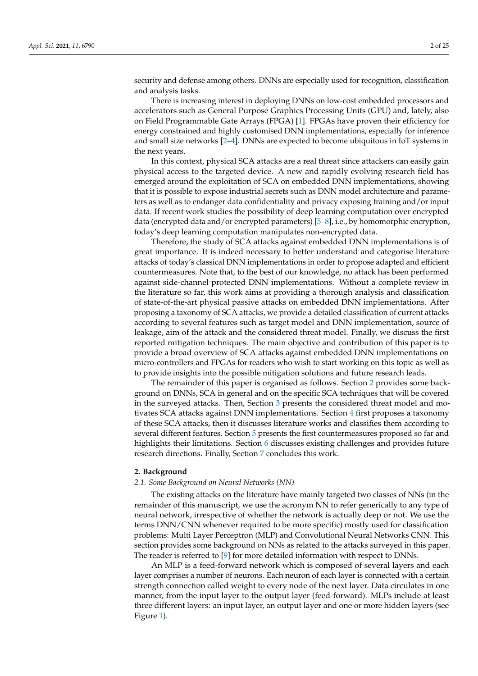security and defense among others. DNNs are especially used for recognition, classification and analysis tasks.

There is increasing interest in deploying DNNs on low-cost embedded processors and accelerators such as General Purpose Graphics Processing Units (GPU) and, lately, also on Field Programmable Gate Arrays (FPGA) [\[1\]](#page-22-0). FPGAs have proven their efficiency for energy constrained and highly customised DNN implementations, especially for inference and small size networks [\[2–](#page-22-1)[4\]](#page-22-2). DNNs are expected to become ubiquitous in IoT systems in the next years.

In this context, physical SCA attacks are a real threat since attackers can easily gain physical access to the targeted device. A new and rapidly evolving research field has emerged around the exploitation of SCA on embedded DNN implementations, showing that it is possible to expose industrial secrets such as DNN model architecture and parameters as well as to endanger data confidentiality and privacy exposing training and/or input data. If recent work studies the possibility of deep learning computation over encrypted data (encrypted data and/or encrypted parameters) [\[5–](#page-22-3)[8\]](#page-22-4), i.e., by homomorphic encryption, today's deep learning computation manipulates non-encrypted data.

Therefore, the study of SCA attacks against embedded DNN implementations is of great importance. It is indeed necessary to better understand and categorise literature attacks of today's classical DNN implementations in order to propose adapted and efficient countermeasures. Note that, to the best of our knowledge, no attack has been performed against side-channel protected DNN implementations. Without a complete review in the literature so far, this work aims at providing a thorough analysis and classification of state-of-the-art physical passive attacks on embedded DNN implementations. After proposing a taxonomy of SCA attacks, we provide a detailed classification of current attacks according to several features such as target model and DNN implementation, source of leakage, aim of the attack and the considered threat model. Finally, we discuss the first reported mitigation techniques. The main objective and contribution of this paper is to provide a broad overview of SCA attacks against embedded DNN implementations on micro-controllers and FPGAs for readers who wish to start working on this topic as well as to provide insights into the possible mitigation solutions and future research leads.

The remainder of this paper is organised as follows. Section [2](#page-1-0) provides some background on DNNs, SCA in general and on the specific SCA techniques that will be covered in the surveyed attacks. Then, Section [3](#page-5-0) presents the considered threat model and motivates SCA attacks against DNN implementations. Section [4](#page-6-0) first proposes a taxonomy of these SCA attacks, then it discusses literature works and classifies them according to several different features. Section [5](#page-19-0) presents the first countermeasures proposed so far and highlights their limitations. Section [6](#page-20-0) discusses existing challenges and provides future research directions. Finally, Section [7](#page-21-0) concludes this work.

#### <span id="page-1-0"></span>**2. Background**

#### *2.1. Some Background on Neural Networks (NN)*

The existing attacks on the literature have mainly targeted two classes of NNs (in the remainder of this manuscript, we use the acronym NN to refer generically to any type of neural network, irrespective of whether the network is actually deep or not. We use the terms DNN/CNN whenever required to be more specific) mostly used for classification problems: Multi Layer Perceptron (MLP) and Convolutional Neural Networks CNN. This section provides some background on NNs as related to the attacks surveyed in this paper. The reader is referred to [\[9\]](#page-22-5) for more detailed information with respect to DNNs.

An MLP is a feed-forward network which is composed of several layers and each layer comprises a number of neurons. Each neuron of each layer is connected with a certain strength connection called weight to every node of the next layer. Data circulates in one manner, from the input layer to the output layer (feed-forward). MLPs include at least three different layers: an input layer, an output layer and one or more hidden layers (see Figure [1\)](#page-2-0).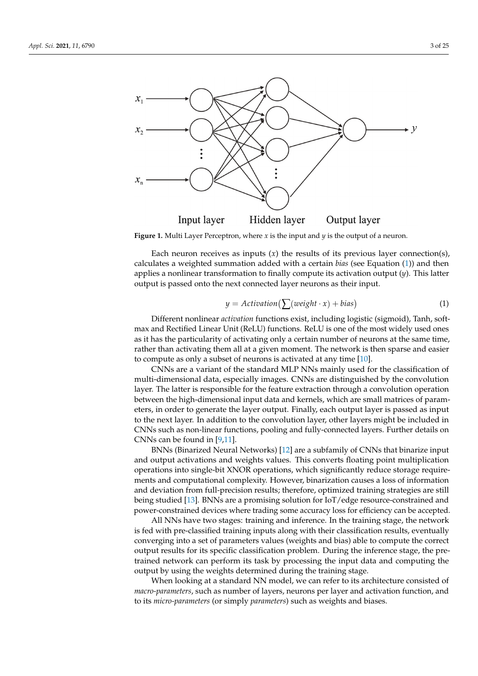<span id="page-2-0"></span>

**Figure 1.** Multi Layer Perceptron, where *x* is the input and  $\gamma$  is the output of a neuron.

Each neuron receives as inputs  $(x)$  the results of its previous layer connection(s), calculates a weighted summation added with a certain *bias* (see Equation [\(1\)](#page-2-1)) and then applies a nonlinear transformation to finally compute its activation output (*y*). This latter output is passed onto the next connected layer neurons as their input.

<span id="page-2-1"></span>
$$
y = Action( \sum (weight \cdot x) + bias )
$$
 (1)

Different nonlinear *activation* functions exist, including logistic (sigmoid), Tanh, softmax and Rectified Linear Unit (ReLU) functions. ReLU is one of the most widely used ones as it has the particularity of activating only a certain number of neurons at the same time, rather than activating them all at a given moment. The network is then sparse and easier to compute as only a subset of neurons is activated at any time [\[10\]](#page-22-6).

CNNs are a variant of the standard MLP NNs mainly used for the classification of multi-dimensional data, especially images. CNNs are distinguished by the convolution layer. The latter is responsible for the feature extraction through a convolution operation between the high-dimensional input data and kernels, which are small matrices of parameters, in order to generate the layer output. Finally, each output layer is passed as input to the next layer. In addition to the convolution layer, other layers might be included in CNNs such as non-linear functions, pooling and fully-connected layers. Further details on CNNs can be found in [\[9,](#page-22-5)[11\]](#page-22-7).

BNNs (Binarized Neural Networks) [\[12\]](#page-22-8) are a subfamily of CNNs that binarize input and output activations and weights values. This converts floating point multiplication operations into single-bit XNOR operations, which significantly reduce storage requirements and computational complexity. However, binarization causes a loss of information and deviation from full-precision results; therefore, optimized training strategies are still being studied [\[13\]](#page-22-9). BNNs are a promising solution for IoT/edge resource-constrained and power-constrained devices where trading some accuracy loss for efficiency can be accepted.

All NNs have two stages: training and inference. In the training stage, the network is fed with pre-classified training inputs along with their classification results, eventually converging into a set of parameters values (weights and bias) able to compute the correct output results for its specific classification problem. During the inference stage, the pretrained network can perform its task by processing the input data and computing the output by using the weights determined during the training stage.

When looking at a standard NN model, we can refer to its architecture consisted of *macro-parameters*, such as number of layers, neurons per layer and activation function, and to its *micro-parameters* (or simply *parameters*) such as weights and biases.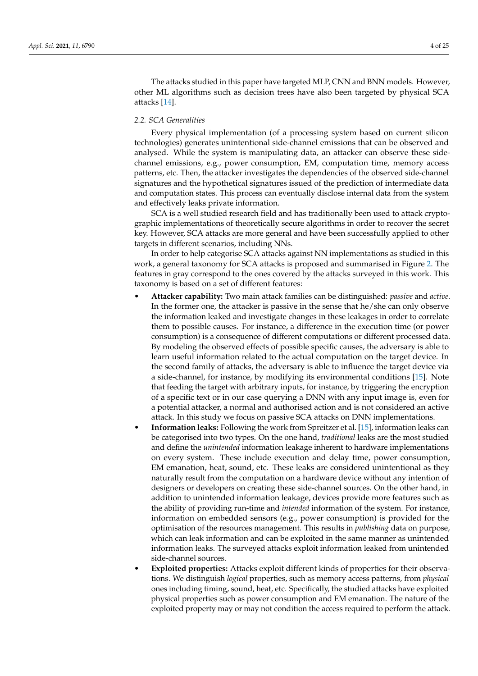The attacks studied in this paper have targeted MLP, CNN and BNN models. However, other ML algorithms such as decision trees have also been targeted by physical SCA attacks [\[14\]](#page-22-10).

### <span id="page-3-0"></span>*2.2. SCA Generalities*

Every physical implementation (of a processing system based on current silicon technologies) generates unintentional side-channel emissions that can be observed and analysed. While the system is manipulating data, an attacker can observe these sidechannel emissions, e.g., power consumption, EM, computation time, memory access patterns, etc. Then, the attacker investigates the dependencies of the observed side-channel signatures and the hypothetical signatures issued of the prediction of intermediate data and computation states. This process can eventually disclose internal data from the system and effectively leaks private information.

SCA is a well studied research field and has traditionally been used to attack cryptographic implementations of theoretically secure algorithms in order to recover the secret key. However, SCA attacks are more general and have been successfully applied to other targets in different scenarios, including NNs.

In order to help categorise SCA attacks against NN implementations as studied in this work, a general taxonomy for SCA attacks is proposed and summarised in Figure [2.](#page-4-0) The features in gray correspond to the ones covered by the attacks surveyed in this work. This taxonomy is based on a set of different features:

- **Attacker capability:** Two main attack families can be distinguished: *passive* and *active*. In the former one, the attacker is passive in the sense that he/she can only observe the information leaked and investigate changes in these leakages in order to correlate them to possible causes. For instance, a difference in the execution time (or power consumption) is a consequence of different computations or different processed data. By modeling the observed effects of possible specific causes, the adversary is able to learn useful information related to the actual computation on the target device. In the second family of attacks, the adversary is able to influence the target device via a side-channel, for instance, by modifying its environmental conditions [\[15\]](#page-22-11). Note that feeding the target with arbitrary inputs, for instance, by triggering the encryption of a specific text or in our case querying a DNN with any input image is, even for a potential attacker, a normal and authorised action and is not considered an active attack. In this study we focus on passive SCA attacks on DNN implementations.
- **Information leaks:** Following the work from Spreitzer et al. [\[15\]](#page-22-11), information leaks can be categorised into two types. On the one hand, *traditional* leaks are the most studied and define the *unintended* information leakage inherent to hardware implementations on every system. These include execution and delay time, power consumption, EM emanation, heat, sound, etc. These leaks are considered unintentional as they naturally result from the computation on a hardware device without any intention of designers or developers on creating these side-channel sources. On the other hand, in addition to unintended information leakage, devices provide more features such as the ability of providing run-time and *intended* information of the system. For instance, information on embedded sensors (e.g., power consumption) is provided for the optimisation of the resources management. This results in *publishing* data on purpose, which can leak information and can be exploited in the same manner as unintended information leaks. The surveyed attacks exploit information leaked from unintended side-channel sources.
- **Exploited properties:** Attacks exploit different kinds of properties for their observations. We distinguish *logical* properties, such as memory access patterns, from *physical* ones including timing, sound, heat, etc. Specifically, the studied attacks have exploited physical properties such as power consumption and EM emanation. The nature of the exploited property may or may not condition the access required to perform the attack.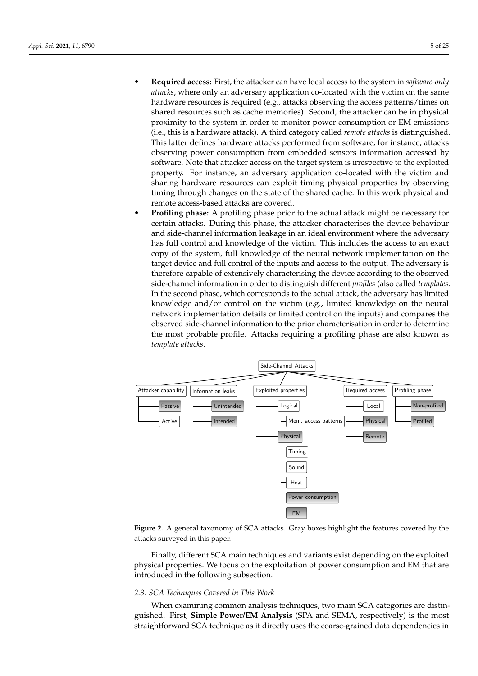- **Required access:** First, the attacker can have local access to the system in *software-only attacks*, where only an adversary application co-located with the victim on the same hardware resources is required (e.g., attacks observing the access patterns/times on shared resources such as cache memories). Second, the attacker can be in physical proximity to the system in order to monitor power consumption or EM emissions (i.e., this is a hardware attack). A third category called *remote attacks* is distinguished. This latter defines hardware attacks performed from software, for instance, attacks observing power consumption from embedded sensors information accessed by software. Note that attacker access on the target system is irrespective to the exploited property. For instance, an adversary application co-located with the victim and sharing hardware resources can exploit timing physical properties by observing timing through changes on the state of the shared cache. In this work physical and remote access-based attacks are covered.
- **Profiling phase:** A profiling phase prior to the actual attack might be necessary for certain attacks. During this phase, the attacker characterises the device behaviour and side-channel information leakage in an ideal environment where the adversary has full control and knowledge of the victim. This includes the access to an exact copy of the system, full knowledge of the neural network implementation on the target device and full control of the inputs and access to the output. The adversary is therefore capable of extensively characterising the device according to the observed side-channel information in order to distinguish different *profiles* (also called *templates*. In the second phase, which corresponds to the actual attack, the adversary has limited knowledge and/or control on the victim (e.g., limited knowledge on the neural network implementation details or limited control on the inputs) and compares the observed side-channel information to the prior characterisation in order to determine the most probable profile. Attacks requiring a profiling phase are also known as *template attacks*.

<span id="page-4-0"></span>

**Figure 2.** A general taxonomy of SCA attacks. Gray boxes highlight the features covered by the attacks surveyed in this paper.

Finally, different SCA main techniques and variants exist depending on the exploited physical properties. We focus on the exploitation of power consumption and EM that are introduced in the following subsection.

## *2.3. SCA Techniques Covered in This Work*

When examining common analysis techniques, two main SCA categories are distinguished. First, **Simple Power/EM Analysis** (SPA and SEMA, respectively) is the most straightforward SCA technique as it directly uses the coarse-grained data dependencies in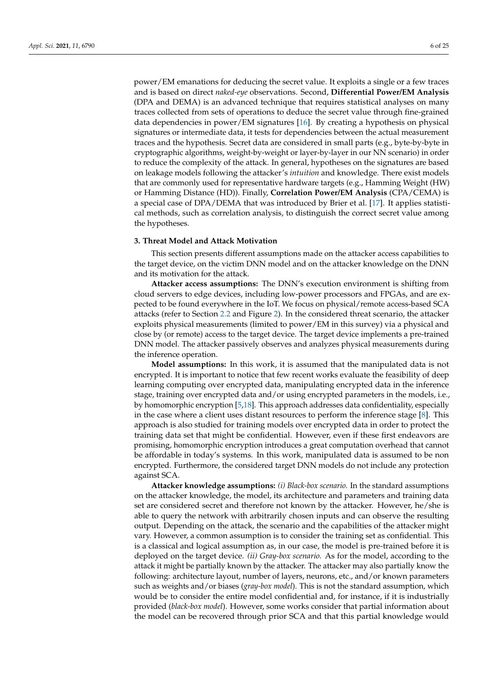power/EM emanations for deducing the secret value. It exploits a single or a few traces and is based on direct *naked-eye* observations. Second, **Differential Power/EM Analysis** (DPA and DEMA) is an advanced technique that requires statistical analyses on many traces collected from sets of operations to deduce the secret value through fine-grained data dependencies in power/EM signatures [\[16\]](#page-22-12). By creating a hypothesis on physical signatures or intermediate data, it tests for dependencies between the actual measurement traces and the hypothesis. Secret data are considered in small parts (e.g., byte-by-byte in cryptographic algorithms, weight-by-weight or layer-by-layer in our NN scenario) in order to reduce the complexity of the attack. In general, hypotheses on the signatures are based on leakage models following the attacker's *intuition* and knowledge. There exist models that are commonly used for representative hardware targets (e.g., Hamming Weight (HW) or Hamming Distance (HD)). Finally, **Correlation Power/EM Analysis** (CPA/CEMA) is a special case of DPA/DEMA that was introduced by Brier et al. [\[17\]](#page-22-13). It applies statistical methods, such as correlation analysis, to distinguish the correct secret value among the hypotheses.

## <span id="page-5-0"></span>**3. Threat Model and Attack Motivation**

This section presents different assumptions made on the attacker access capabilities to the target device, on the victim DNN model and on the attacker knowledge on the DNN and its motivation for the attack.

**Attacker access assumptions:** The DNN's execution environment is shifting from cloud servers to edge devices, including low-power processors and FPGAs, and are expected to be found everywhere in the IoT. We focus on physical/remote access-based SCA attacks (refer to Section [2.2](#page-3-0) and Figure [2\)](#page-4-0). In the considered threat scenario, the attacker exploits physical measurements (limited to power/EM in this survey) via a physical and close by (or remote) access to the target device. The target device implements a pre-trained DNN model. The attacker passively observes and analyzes physical measurements during the inference operation.

**Model assumptions:** In this work, it is assumed that the manipulated data is not encrypted. It is important to notice that few recent works evaluate the feasibility of deep learning computing over encrypted data, manipulating encrypted data in the inference stage, training over encrypted data and/or using encrypted parameters in the models, i.e., by homomorphic encryption [\[5](#page-22-3)[,18\]](#page-22-14). This approach addresses data confidentiality, especially in the case where a client uses distant resources to perform the inference stage [\[8\]](#page-22-4). This approach is also studied for training models over encrypted data in order to protect the training data set that might be confidential. However, even if these first endeavors are promising, homomorphic encryption introduces a great computation overhead that cannot be affordable in today's systems. In this work, manipulated data is assumed to be non encrypted. Furthermore, the considered target DNN models do not include any protection against SCA.

**Attacker knowledge assumptions:** *(i) Black-box scenario.* In the standard assumptions on the attacker knowledge, the model, its architecture and parameters and training data set are considered secret and therefore not known by the attacker. However, he/she is able to query the network with arbitrarily chosen inputs and can observe the resulting output. Depending on the attack, the scenario and the capabilities of the attacker might vary. However, a common assumption is to consider the training set as confidential. This is a classical and logical assumption as, in our case, the model is pre-trained before it is deployed on the target device. *(ii) Gray-box scenario.* As for the model, according to the attack it might be partially known by the attacker. The attacker may also partially know the following: architecture layout, number of layers, neurons, etc., and/or known parameters such as weights and/or biases (*gray-box model*). This is not the standard assumption, which would be to consider the entire model confidential and, for instance, if it is industrially provided (*black-box model*). However, some works consider that partial information about the model can be recovered through prior SCA and that this partial knowledge would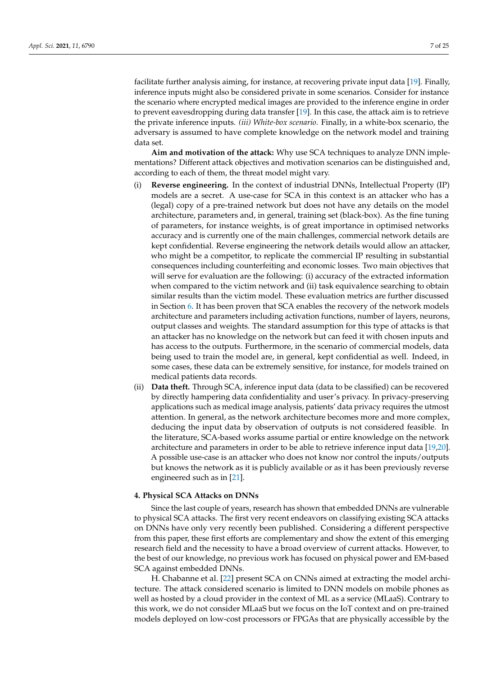facilitate further analysis aiming, for instance, at recovering private input data [\[19\]](#page-22-15). Finally, inference inputs might also be considered private in some scenarios. Consider for instance the scenario where encrypted medical images are provided to the inference engine in order to prevent eavesdropping during data transfer [\[19\]](#page-22-15). In this case, the attack aim is to retrieve the private inference inputs. *(iii) White-box scenario.* Finally, in a white-box scenario, the adversary is assumed to have complete knowledge on the network model and training data set.

**Aim and motivation of the attack:** Why use SCA techniques to analyze DNN implementations? Different attack objectives and motivation scenarios can be distinguished and, according to each of them, the threat model might vary.

- (i) **Reverse engineering.** In the context of industrial DNNs, Intellectual Property (IP) models are a secret. A use-case for SCA in this context is an attacker who has a (legal) copy of a pre-trained network but does not have any details on the model architecture, parameters and, in general, training set (black-box). As the fine tuning of parameters, for instance weights, is of great importance in optimised networks accuracy and is currently one of the main challenges, commercial network details are kept confidential. Reverse engineering the network details would allow an attacker, who might be a competitor, to replicate the commercial IP resulting in substantial consequences including counterfeiting and economic losses. Two main objectives that will serve for evaluation are the following: (i) accuracy of the extracted information when compared to the victim network and (ii) task equivalence searching to obtain similar results than the victim model. These evaluation metrics are further discussed in Section [6.](#page-20-0) It has been proven that SCA enables the recovery of the network models architecture and parameters including activation functions, number of layers, neurons, output classes and weights. The standard assumption for this type of attacks is that an attacker has no knowledge on the network but can feed it with chosen inputs and has access to the outputs. Furthermore, in the scenario of commercial models, data being used to train the model are, in general, kept confidential as well. Indeed, in some cases, these data can be extremely sensitive, for instance, for models trained on medical patients data records.
- (ii) **Data theft.** Through SCA, inference input data (data to be classified) can be recovered by directly hampering data confidentiality and user's privacy. In privacy-preserving applications such as medical image analysis, patients' data privacy requires the utmost attention. In general, as the network architecture becomes more and more complex, deducing the input data by observation of outputs is not considered feasible. In the literature, SCA-based works assume partial or entire knowledge on the network architecture and parameters in order to be able to retrieve inference input data [\[19](#page-22-15)[,20\]](#page-23-0). A possible use-case is an attacker who does not know nor control the inputs/outputs but knows the network as it is publicly available or as it has been previously reverse engineered such as in [\[21\]](#page-23-1).

## <span id="page-6-0"></span>**4. Physical SCA Attacks on DNNs**

Since the last couple of years, research has shown that embedded DNNs are vulnerable to physical SCA attacks. The first very recent endeavors on classifying existing SCA attacks on DNNs have only very recently been published. Considering a different perspective from this paper, these first efforts are complementary and show the extent of this emerging research field and the necessity to have a broad overview of current attacks. However, to the best of our knowledge, no previous work has focused on physical power and EM-based SCA against embedded DNNs.

H. Chabanne et al. [\[22\]](#page-23-2) present SCA on CNNs aimed at extracting the model architecture. The attack considered scenario is limited to DNN models on mobile phones as well as hosted by a cloud provider in the context of ML as a service (MLaaS). Contrary to this work, we do not consider MLaaS but we focus on the IoT context and on pre-trained models deployed on low-cost processors or FPGAs that are physically accessible by the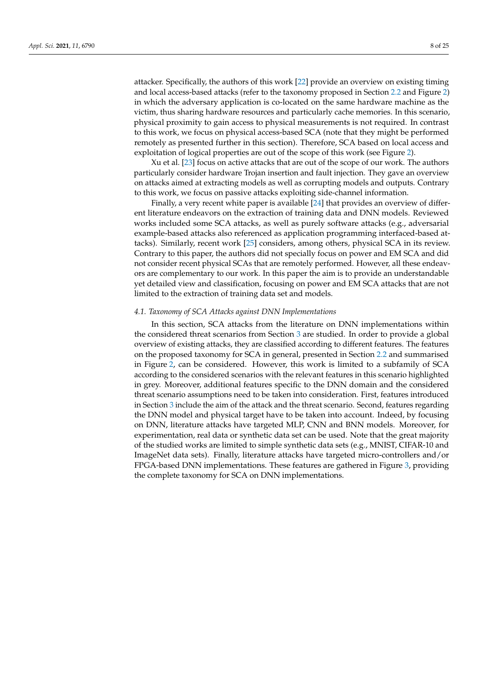attacker. Specifically, the authors of this work [\[22\]](#page-23-2) provide an overview on existing timing and local access-based attacks (refer to the taxonomy proposed in Section [2.2](#page-3-0) and Figure [2\)](#page-4-0) in which the adversary application is co-located on the same hardware machine as the victim, thus sharing hardware resources and particularly cache memories. In this scenario, physical proximity to gain access to physical measurements is not required. In contrast to this work, we focus on physical access-based SCA (note that they might be performed remotely as presented further in this section). Therefore, SCA based on local access and exploitation of logical properties are out of the scope of this work (see Figure [2\)](#page-4-0).

Xu et al. [\[23\]](#page-23-3) focus on active attacks that are out of the scope of our work. The authors particularly consider hardware Trojan insertion and fault injection. They gave an overview on attacks aimed at extracting models as well as corrupting models and outputs. Contrary to this work, we focus on passive attacks exploiting side-channel information.

Finally, a very recent white paper is available [\[24\]](#page-23-4) that provides an overview of different literature endeavors on the extraction of training data and DNN models. Reviewed works included some SCA attacks, as well as purely software attacks (e.g., adversarial example-based attacks also referenced as application programming interfaced-based attacks). Similarly, recent work [\[25\]](#page-23-5) considers, among others, physical SCA in its review. Contrary to this paper, the authors did not specially focus on power and EM SCA and did not consider recent physical SCAs that are remotely performed. However, all these endeavors are complementary to our work. In this paper the aim is to provide an understandable yet detailed view and classification, focusing on power and EM SCA attacks that are not limited to the extraction of training data set and models.

#### *4.1. Taxonomy of SCA Attacks against DNN Implementations*

In this section, SCA attacks from the literature on DNN implementations within the considered threat scenarios from Section [3](#page-5-0) are studied. In order to provide a global overview of existing attacks, they are classified according to different features. The features on the proposed taxonomy for SCA in general, presented in Section [2.2](#page-3-0) and summarised in Figure [2,](#page-4-0) can be considered. However, this work is limited to a subfamily of SCA according to the considered scenarios with the relevant features in this scenario highlighted in grey. Moreover, additional features specific to the DNN domain and the considered threat scenario assumptions need to be taken into consideration. First, features introduced in Section [3](#page-5-0) include the aim of the attack and the threat scenario. Second, features regarding the DNN model and physical target have to be taken into account. Indeed, by focusing on DNN, literature attacks have targeted MLP, CNN and BNN models. Moreover, for experimentation, real data or synthetic data set can be used. Note that the great majority of the studied works are limited to simple synthetic data sets (e.g., MNIST, CIFAR-10 and ImageNet data sets). Finally, literature attacks have targeted micro-controllers and/or FPGA-based DNN implementations. These features are gathered in Figure [3,](#page-8-0) providing the complete taxonomy for SCA on DNN implementations.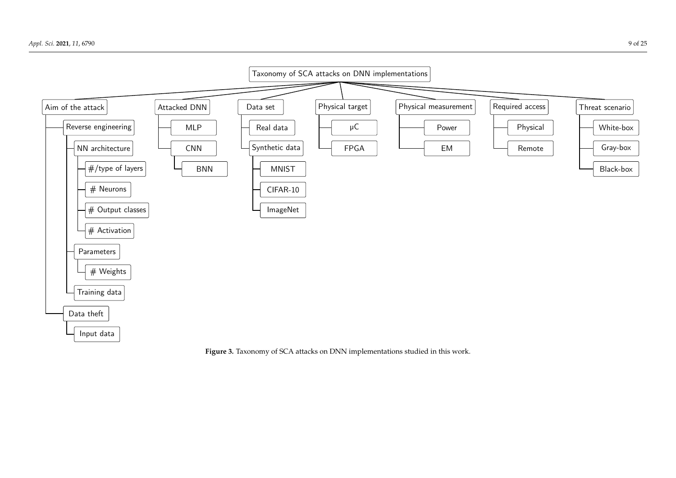

<span id="page-8-0"></span>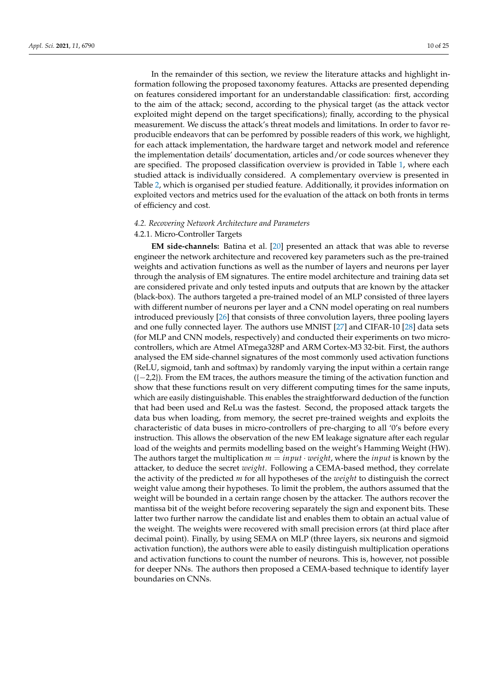In the remainder of this section, we review the literature attacks and highlight information following the proposed taxonomy features. Attacks are presented depending on features considered important for an understandable classification: first, according to the aim of the attack; second, according to the physical target (as the attack vector exploited might depend on the target specifications); finally, according to the physical measurement. We discuss the attack's threat models and limitations. In order to favor reproducible endeavors that can be perfomred by possible readers of this work, we highlight, for each attack implementation, the hardware target and network model and reference the implementation details' documentation, articles and/or code sources whenever they are specified. The proposed classification overview is provided in Table [1,](#page-10-0) where each studied attack is individually considered. A complementary overview is presented in Table [2,](#page-11-0) which is organised per studied feature. Additionally, it provides information on exploited vectors and metrics used for the evaluation of the attack on both fronts in terms of efficiency and cost.

# *4.2. Recovering Network Architecture and Parameters*

# 4.2.1. Micro-Controller Targets

**EM side-channels:** Batina et al. [\[20\]](#page-23-0) presented an attack that was able to reverse engineer the network architecture and recovered key parameters such as the pre-trained weights and activation functions as well as the number of layers and neurons per layer through the analysis of EM signatures. The entire model architecture and training data set are considered private and only tested inputs and outputs that are known by the attacker (black-box). The authors targeted a pre-trained model of an MLP consisted of three layers with different number of neurons per layer and a CNN model operating on real numbers introduced previously [\[26\]](#page-23-6) that consists of three convolution layers, three pooling layers and one fully connected layer. The authors use MNIST [\[27\]](#page-23-7) and CIFAR-10 [\[28\]](#page-23-8) data sets (for MLP and CNN models, respectively) and conducted their experiments on two microcontrollers, which are Atmel ATmega328P and ARM Cortex-M3 32-bit. First, the authors analysed the EM side-channel signatures of the most commonly used activation functions (ReLU, sigmoid, tanh and softmax) by randomly varying the input within a certain range  $([-2,2])$ . From the EM traces, the authors measure the timing of the activation function and show that these functions result on very different computing times for the same inputs, which are easily distinguishable. This enables the straightforward deduction of the function that had been used and ReLu was the fastest. Second, the proposed attack targets the data bus when loading, from memory, the secret pre-trained weights and exploits the characteristic of data buses in micro-controllers of pre-charging to all '0's before every instruction. This allows the observation of the new EM leakage signature after each regular load of the weights and permits modelling based on the weight's Hamming Weight (HW). The authors target the multiplication  $m = input \cdot weight$ , where the *input* is known by the attacker, to deduce the secret *weight*. Following a CEMA-based method, they correlate the activity of the predicted *m* for all hypotheses of the *weight* to distinguish the correct weight value among their hypotheses. To limit the problem, the authors assumed that the weight will be bounded in a certain range chosen by the attacker. The authors recover the mantissa bit of the weight before recovering separately the sign and exponent bits. These latter two further narrow the candidate list and enables them to obtain an actual value of the weight. The weights were recovered with small precision errors (at third place after decimal point). Finally, by using SEMA on MLP (three layers, six neurons and sigmoid activation function), the authors were able to easily distinguish multiplication operations and activation functions to count the number of neurons. This is, however, not possible for deeper NNs. The authors then proposed a CEMA-based technique to identify layer boundaries on CNNs.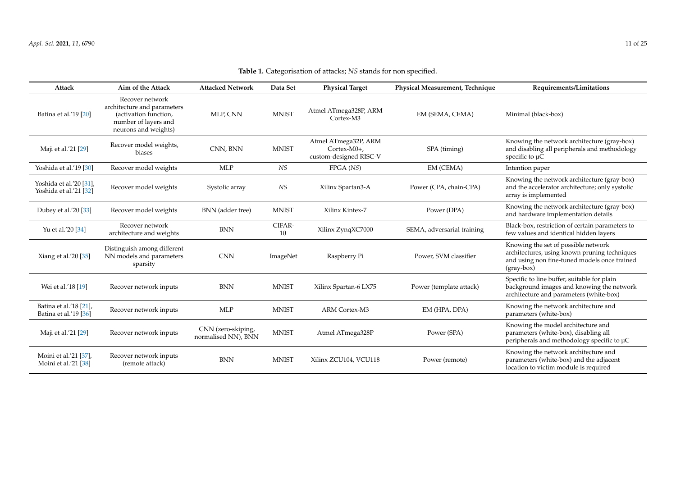<span id="page-10-0"></span>

| Attack                                                     | Aim of the Attack                                                                                                       | <b>Attacked Network</b>                   | Data Set     | <b>Physical Target</b>                                          | Physical Measurement, Technique | Requirements/Limitations                                                                                                                             |
|------------------------------------------------------------|-------------------------------------------------------------------------------------------------------------------------|-------------------------------------------|--------------|-----------------------------------------------------------------|---------------------------------|------------------------------------------------------------------------------------------------------------------------------------------------------|
| Batina et al.'19 [20]                                      | Recover network<br>architecture and parameters<br>(activation function,<br>number of layers and<br>neurons and weights) | MLP, CNN                                  | <b>MNIST</b> | Atmel ATmega328P, ARM<br>Cortex-M3                              | EM (SEMA, CEMA)                 | Minimal (black-box)                                                                                                                                  |
| Maji et al.'21 [29]                                        | Recover model weights,<br>biases                                                                                        | CNN, BNN                                  | <b>MNIST</b> | Atmel ATmega32P, ARM<br>$Cortex-M0+,$<br>custom-designed RISC-V | SPA (timing)                    | Knowing the network architecture (gray-box)<br>and disabling all peripherals and methodology<br>specific to $\mu$ C                                  |
| Yoshida et al.'19 [30]                                     | Recover model weights                                                                                                   | <b>MLP</b>                                | NS           | FPGA(NS)                                                        | EM (CEMA)                       | Intention paper                                                                                                                                      |
| Yoshida et al.'20 [31],<br>Yoshida et al.'21 [32]          | Recover model weights                                                                                                   | Systolic array                            | $\it NS$     | Xilinx Spartan3-A                                               | Power (CPA, chain-CPA)          | Knowing the network architecture (gray-box)<br>and the accelerator architecture; only systolic<br>array is implemented                               |
| Dubey et al.'20 [33]                                       | Recover model weights                                                                                                   | BNN (adder tree)                          | <b>MNIST</b> | Xilinx Kintex-7                                                 | Power (DPA)                     | Knowing the network architecture (gray-box)<br>and hardware implementation details                                                                   |
| Yu et al.'20 [34]                                          | Recover network<br>architecture and weights                                                                             | $\operatorname{BNN}$                      | CIFAR-<br>10 | Xilinx ZynqXC7000                                               | SEMA, adversarial training      | Black-box, restriction of certain parameters to<br>few values and identical hidden layers                                                            |
| Xiang et al.'20 [35]                                       | Distinguish among different<br>NN models and parameters<br>sparsity                                                     | <b>CNN</b>                                | ImageNet     | Raspberry Pi                                                    | Power, SVM classifier           | Knowing the set of possible network<br>architectures, using known pruning techniques<br>and using non fine-tuned models once trained<br>$(gray-box)$ |
| Wei et al.'18 [19]                                         | Recover network inputs                                                                                                  | <b>BNN</b>                                | <b>MNIST</b> | Xilinx Spartan-6 LX75                                           | Power (template attack)         | Specific to line buffer, suitable for plain<br>background images and knowing the network<br>architecture and parameters (white-box)                  |
| Batina et al.'18 [21],<br>Batina et al.'19 <sup>[36]</sup> | Recover network inputs                                                                                                  | <b>MLP</b>                                | <b>MNIST</b> | <b>ARM Cortex-M3</b>                                            | EM (HPA, DPA)                   | Knowing the network architecture and<br>parameters (white-box)                                                                                       |
| Maji et al.'21 [29]                                        | Recover network inputs                                                                                                  | CNN (zero-skiping,<br>normalised NN), BNN | <b>MNIST</b> | Atmel ATmega328P                                                | Power (SPA)                     | Knowing the model architecture and<br>parameters (white-box), disabling all<br>peripherals and methodology specific to µC                            |
| Moini et al.'21 [37],<br>Moini et al.'21 [38]              | Recover network inputs<br>(remote attack)                                                                               | <b>BNN</b>                                | <b>MNIST</b> | Xilinx ZCU104, VCU118                                           | Power (remote)                  | Knowing the network architecture and<br>parameters (white-box) and the adjacent<br>location to victim module is required                             |

**Table 1.** Categorisation of attacks; *NS* stands for non specified.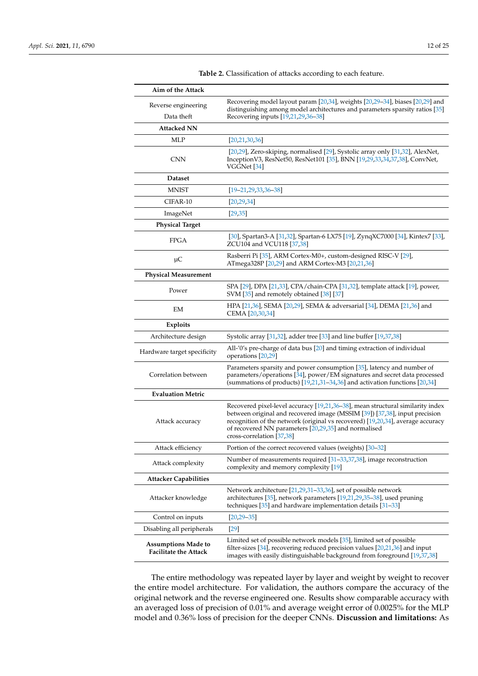<span id="page-11-0"></span>

| Aim of the Attack                                          |                                                                                                                                                                                                                                                                                                                                      |  |  |  |  |
|------------------------------------------------------------|--------------------------------------------------------------------------------------------------------------------------------------------------------------------------------------------------------------------------------------------------------------------------------------------------------------------------------------|--|--|--|--|
| Reverse engineering<br>Data theft                          | Recovering model layout param [20,34], weights [20,29-34], biases [20,29] and<br>distinguishing among model architectures and parameters sparsity ratios [35]<br>Recovering inputs [19,21,29,36–38]                                                                                                                                  |  |  |  |  |
| <b>Attacked NN</b>                                         |                                                                                                                                                                                                                                                                                                                                      |  |  |  |  |
| <b>MLP</b>                                                 | [20, 21, 30, 36]                                                                                                                                                                                                                                                                                                                     |  |  |  |  |
| <b>CNN</b>                                                 | [20,29], Zero-skiping, normalised [29], Systolic array only [31,32], AlexNet,<br>Inception V3, ResNet50, ResNet101 [35], BNN [19,29,33,34,37,38], ConvNet,<br>VGGNet <sup>[34]</sup>                                                                                                                                                 |  |  |  |  |
| <b>Dataset</b>                                             |                                                                                                                                                                                                                                                                                                                                      |  |  |  |  |
| <b>MNIST</b>                                               | $[19 - 21, 29, 33, 36 - 38]$                                                                                                                                                                                                                                                                                                         |  |  |  |  |
| CIFAR-10                                                   | [20, 29, 34]                                                                                                                                                                                                                                                                                                                         |  |  |  |  |
| ImageNet                                                   | [29, 35]                                                                                                                                                                                                                                                                                                                             |  |  |  |  |
| <b>Physical Target</b>                                     |                                                                                                                                                                                                                                                                                                                                      |  |  |  |  |
| <b>FPGA</b>                                                | [30], Spartan3-A [31,32], Spartan-6 LX75 [19], ZynqXC7000 [34], Kintex7 [33],<br>ZCU104 and VCU118 [37,38]                                                                                                                                                                                                                           |  |  |  |  |
| $\mu$ C                                                    | Rasberri Pi [35], ARM Cortex-M0+, custom-designed RISC-V [29],<br>ATmega328P [20,29] and ARM Cortex-M3 [20,21,36]                                                                                                                                                                                                                    |  |  |  |  |
| <b>Physical Measurement</b>                                |                                                                                                                                                                                                                                                                                                                                      |  |  |  |  |
| Power                                                      | SPA [29], DPA [21,33], CPA/chain-CPA [31,32], template attack [19], power,<br>SVM [35] and remotely obtained [38] [37]                                                                                                                                                                                                               |  |  |  |  |
| EM                                                         | HPA [21,36], SEMA [20,29], SEMA & adversarial [34], DEMA [21,36] and<br>CEMA [20,30,34]                                                                                                                                                                                                                                              |  |  |  |  |
| <b>Exploits</b>                                            |                                                                                                                                                                                                                                                                                                                                      |  |  |  |  |
| Architecture design                                        | Systolic array $[31,32]$ , adder tree $[33]$ and line buffer $[19,37,38]$                                                                                                                                                                                                                                                            |  |  |  |  |
| Hardware target specificity                                | All-'0's pre-charge of data bus [20] and timing extraction of individual<br>operations [20,29]                                                                                                                                                                                                                                       |  |  |  |  |
| Correlation between                                        | Parameters sparsity and power consumption [35], latency and number of<br>parameters/operations [34], power/EM signatures and secret data processed<br>(summations of products) [19,21,31-34,36] and activation functions [20,34]                                                                                                     |  |  |  |  |
| <b>Evaluation Metric</b>                                   |                                                                                                                                                                                                                                                                                                                                      |  |  |  |  |
| Attack accuracy                                            | Recovered pixel-level accuracy [19,21,36–38], mean structural similarity index<br>between original and recovered image (MSSIM [39]) [37,38], input precision<br>recognition of the network (original vs recovered) [19,20,34], average accuracy<br>of recovered NN parameters [20,29,35] and normalised<br>cross-correlation [37,38] |  |  |  |  |
| Attack efficiency                                          | Portion of the correct recovered values (weights) [30-32]                                                                                                                                                                                                                                                                            |  |  |  |  |
| Attack complexity                                          | Number of measurements required [31–33,37,38], image reconstruction<br>complexity and memory complexity [19]                                                                                                                                                                                                                         |  |  |  |  |
| <b>Attacker Capabilities</b>                               |                                                                                                                                                                                                                                                                                                                                      |  |  |  |  |
| Attacker knowledge                                         | Network architecture [21,29,31–33,36], set of possible network<br>architectures [35], network parameters [19,21,29,35-38], used pruning<br>techniques $[35]$ and hardware implementation details $[31-33]$                                                                                                                           |  |  |  |  |
| Control on inputs                                          | $[20, 29 - 35]$                                                                                                                                                                                                                                                                                                                      |  |  |  |  |
| Disabling all peripherals                                  | $[29]$                                                                                                                                                                                                                                                                                                                               |  |  |  |  |
| <b>Assumptions Made to</b><br><b>Facilitate the Attack</b> | Limited set of possible network models [35], limited set of possible<br>filter-sizes $[34]$ , recovering reduced precision values $[20,21,36]$ and input<br>images with easily distinguishable background from foreground [19,37,38]                                                                                                 |  |  |  |  |

**Table 2.** Classification of attacks according to each feature.

The entire methodology was repeated layer by layer and weight by weight to recover the entire model architecture. For validation, the authors compare the accuracy of the original network and the reverse engineered one. Results show comparable accuracy with an averaged loss of precision of 0.01% and average weight error of 0.0025% for the MLP model and 0.36% loss of precision for the deeper CNNs. **Discussion and limitations:** As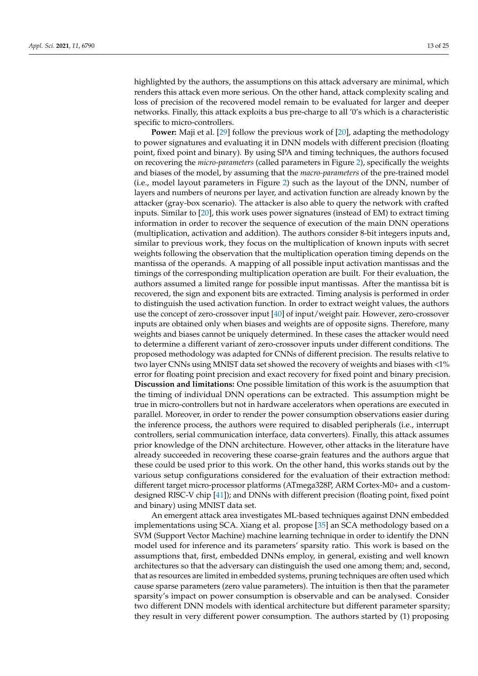highlighted by the authors, the assumptions on this attack adversary are minimal, which renders this attack even more serious. On the other hand, attack complexity scaling and loss of precision of the recovered model remain to be evaluated for larger and deeper networks. Finally, this attack exploits a bus pre-charge to all '0's which is a characteristic specific to micro-controllers.

**Power:** Maji et al. [\[29\]](#page-23-22) follow the previous work of [\[20\]](#page-23-0), adapting the methodology to power signatures and evaluating it in DNN models with different precision (floating point, fixed point and binary). By using SPA and timing techniques, the authors focused on recovering the *micro-parameters* (called parameters in Figure [2\)](#page-4-0), specifically the weights and biases of the model, by assuming that the *macro-parameters* of the pre-trained model (i.e., model layout parameters in Figure [2\)](#page-4-0) such as the layout of the DNN, number of layers and numbers of neurons per layer, and activation function are already known by the attacker (gray-box scenario). The attacker is also able to query the network with crafted inputs. Similar to [\[20\]](#page-23-0), this work uses power signatures (instead of EM) to extract timing information in order to recover the sequence of execution of the main DNN operations (multiplication, activation and addition). The authors consider 8-bit integers inputs and, similar to previous work, they focus on the multiplication of known inputs with secret weights following the observation that the multiplication operation timing depends on the mantissa of the operands. A mapping of all possible input activation mantissas and the timings of the corresponding multiplication operation are built. For their evaluation, the authors assumed a limited range for possible input mantissas. After the mantissa bit is recovered, the sign and exponent bits are extracted. Timing analysis is performed in order to distinguish the used activation function. In order to extract weight values, the authors use the concept of zero-crossover input [\[40\]](#page-23-32) of input/weight pair. However, zero-crossover inputs are obtained only when biases and weights are of opposite signs. Therefore, many weights and biases cannot be uniquely determined. In these cases the attacker would need to determine a different variant of zero-crossover inputs under different conditions. The proposed methodology was adapted for CNNs of different precision. The results relative to two layer CNNs using MNIST data set showed the recovery of weights and biases with <1% error for floating point precision and exact recovery for fixed point and binary precision. **Discussion and limitations:** One possible limitation of this work is the asuumption that the timing of individual DNN operations can be extracted. This assumption might be true in micro-controllers but not in hardware accelerators when operations are executed in parallel. Moreover, in order to render the power consumption observations easier during the inference process, the authors were required to disabled peripherals (i.e., interrupt controllers, serial communication interface, data converters). Finally, this attack assumes prior knowledge of the DNN architecture. However, other attacks in the literature have already succeeded in recovering these coarse-grain features and the authors argue that these could be used prior to this work. On the other hand, this works stands out by the various setup configurations considered for the evaluation of their extraction method: different target micro-processor platforms (ATmega328P, ARM Cortex-M0+ and a customdesigned RISC-V chip [\[41\]](#page-23-33)); and DNNs with different precision (floating point, fixed point and binary) using MNIST data set.

An emergent attack area investigates ML-based techniques against DNN embedded implementations using SCA. Xiang et al. propose [\[35\]](#page-23-23) an SCA methodology based on a SVM (Support Vector Machine) machine learning technique in order to identify the DNN model used for inference and its parameters' sparsity ratio. This work is based on the assumptions that, first, embedded DNNs employ, in general, existing and well known architectures so that the adversary can distinguish the used one among them; and, second, that as resources are limited in embedded systems, pruning techniques are often used which cause sparse parameters (zero value parameters). The intuition is then that the parameter sparsity's impact on power consumption is observable and can be analysed. Consider two different DNN models with identical architecture but different parameter sparsity; they result in very different power consumption. The authors started by (1) proposing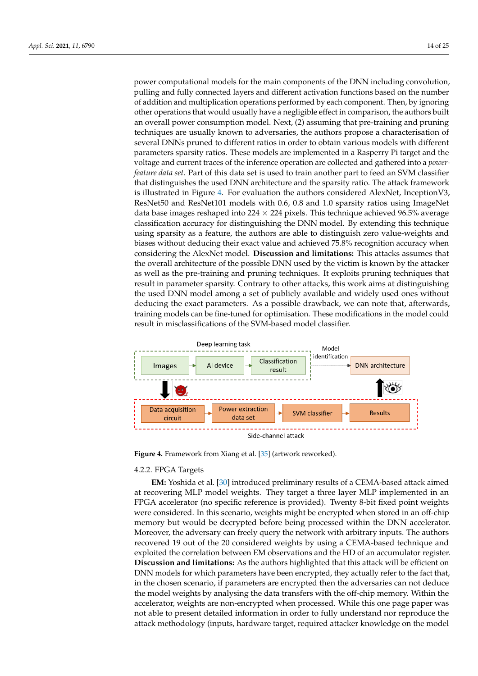power computational models for the main components of the DNN including convolution, pulling and fully connected layers and different activation functions based on the number of addition and multiplication operations performed by each component. Then, by ignoring other operations that would usually have a negligible effect in comparison, the authors built an overall power consumption model. Next, (2) assuming that pre-training and pruning techniques are usually known to adversaries, the authors propose a characterisation of several DNNs pruned to different ratios in order to obtain various models with different parameters sparsity ratios. These models are implemented in a Rasperry Pi target and the voltage and current traces of the inference operation are collected and gathered into a *powerfeature data set*. Part of this data set is used to train another part to feed an SVM classifier that distinguishes the used DNN architecture and the sparsity ratio. The attack framework is illustrated in Figure [4.](#page-13-0) For evaluation the authors considered AlexNet, InceptionV3, ResNet50 and ResNet101 models with 0.6, 0.8 and 1.0 sparsity ratios using ImageNet data base images reshaped into 224  $\times$  224 pixels. This technique achieved 96.5% average classification accuracy for distinguishing the DNN model. By extending this technique using sparsity as a feature, the authors are able to distinguish zero value-weights and biases without deducing their exact value and achieved 75.8% recognition accuracy when considering the AlexNet model. **Discussion and limitations:** This attacks assumes that the overall architecture of the possible DNN used by the victim is known by the attacker as well as the pre-training and pruning techniques. It exploits pruning techniques that result in parameter sparsity. Contrary to other attacks, this work aims at distinguishing the used DNN model among a set of publicly available and widely used ones without deducing the exact parameters. As a possible drawback, we can note that, afterwards, training models can be fine-tuned for optimisation. These modifications in the model could result in misclassifications of the SVM-based model classifier.

<span id="page-13-0"></span>

**Figure 4.** Framework from Xiang et al. [\[35\]](#page-23-23) (artwork reworked).

## <span id="page-13-1"></span>4.2.2. FPGA Targets

**EM:** Yoshida et al. [\[30\]](#page-23-26) introduced preliminary results of a CEMA-based attack aimed at recovering MLP model weights. They target a three layer MLP implemented in an FPGA accelerator (no specific reference is provided). Twenty 8-bit fixed point weights were considered. In this scenario, weights might be encrypted when stored in an off-chip memory but would be decrypted before being processed within the DNN accelerator. Moreover, the adversary can freely query the network with arbitrary inputs. The authors recovered 19 out of the 20 considered weights by using a CEMA-based technique and exploited the correlation between EM observations and the HD of an accumulator register. **Discussion and limitations:** As the authors highlighted that this attack will be efficient on DNN models for which parameters have been encrypted, they actually refer to the fact that, in the chosen scenario, if parameters are encrypted then the adversaries can not deduce the model weights by analysing the data transfers with the off-chip memory. Within the accelerator, weights are non-encrypted when processed. While this one page paper was not able to present detailed information in order to fully understand nor reproduce the attack methodology (inputs, hardware target, required attacker knowledge on the model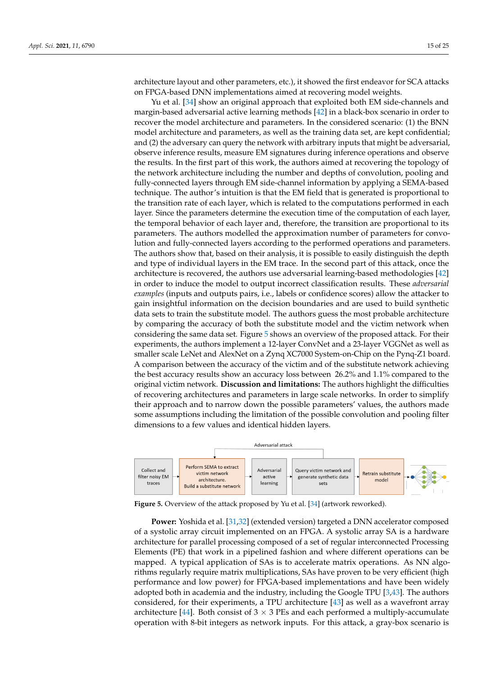architecture layout and other parameters, etc.), it showed the first endeavor for SCA attacks on FPGA-based DNN implementations aimed at recovering model weights.

Yu et al. [\[34\]](#page-23-21) show an original approach that exploited both EM side-channels and margin-based adversarial active learning methods [\[42\]](#page-23-34) in a black-box scenario in order to recover the model architecture and parameters. In the considered scenario: (1) the BNN model architecture and parameters, as well as the training data set, are kept confidential; and (2) the adversary can query the network with arbitrary inputs that might be adversarial, observe inference results, measure EM signatures during inference operations and observe the results. In the first part of this work, the authors aimed at recovering the topology of the network architecture including the number and depths of convolution, pooling and fully-connected layers through EM side-channel information by applying a SEMA-based technique. The author's intuition is that the EM field that is generated is proportional to the transition rate of each layer, which is related to the computations performed in each layer. Since the parameters determine the execution time of the computation of each layer, the temporal behavior of each layer and, therefore, the transition are proportional to its parameters. The authors modelled the approximation number of parameters for convolution and fully-connected layers according to the performed operations and parameters. The authors show that, based on their analysis, it is possible to easily distinguish the depth and type of individual layers in the EM trace. In the second part of this attack, once the architecture is recovered, the authors use adversarial learning-based methodologies [\[42\]](#page-23-34) in order to induce the model to output incorrect classification results. These *adversarial examples* (inputs and outputs pairs, i.e., labels or confidence scores) allow the attacker to gain insightful information on the decision boundaries and are used to build synthetic data sets to train the substitute model. The authors guess the most probable architecture by comparing the accuracy of both the substitute model and the victim network when considering the same data set. Figure [5](#page-14-0) shows an overview of the proposed attack. For their experiments, the authors implement a 12-layer ConvNet and a 23-layer VGGNet as well as smaller scale LeNet and AlexNet on a Zynq XC7000 System-on-Chip on the Pynq-Z1 board. A comparison between the accuracy of the victim and of the substitute network achieving the best accuracy results show an accuracy loss between 26.2% and 1.1% compared to the original victim network. **Discussion and limitations:** The authors highlight the difficulties of recovering architectures and parameters in large scale networks. In order to simplify their approach and to narrow down the possible parameters' values, the authors made some assumptions including the limitation of the possible convolution and pooling filter dimensions to a few values and identical hidden layers.

<span id="page-14-0"></span>

Figure 5. Overview of the attack proposed by Yu et al. [\[34\]](#page-23-21) (artwork reworked).

**Power:** Yoshida et al. [\[31](#page-23-27)[,32\]](#page-23-28) (extended version) targeted a DNN accelerator composed of a systolic array circuit implemented on an FPGA. A systolic array SA is a hardware architecture for parallel processing composed of a set of regular interconnected Processing Elements (PE) that work in a pipelined fashion and where different operations can be mapped. A typical application of SAs is to accelerate matrix operations. As NN algorithms regularly require matrix multiplications, SAs have proven to be very efficient (high performance and low power) for FPGA-based implementations and have been widely adopted both in academia and the industry, including the Google TPU [\[3,](#page-22-17)[43\]](#page-23-35). The authors considered, for their experiments, a TPU architecture [\[43\]](#page-23-35) as well as a wavefront array architecture [\[44\]](#page-23-36). Both consist of  $3 \times 3$  PEs and each performed a multiply-accumulate operation with 8-bit integers as network inputs. For this attack, a gray-box scenario is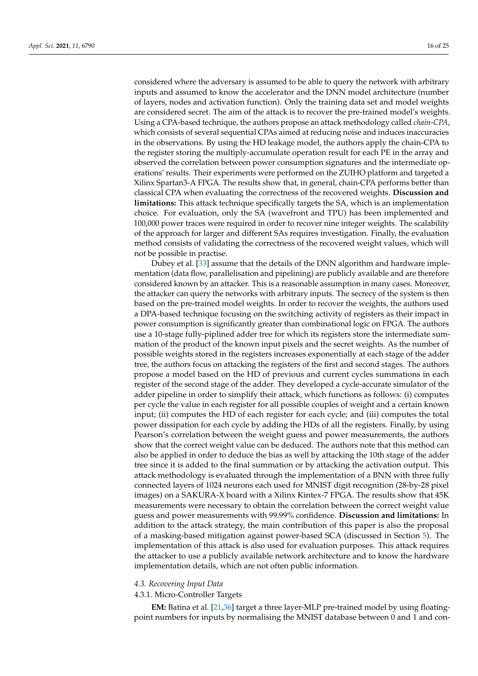considered where the adversary is assumed to be able to query the network with arbitrary inputs and assumed to know the accelerator and the DNN model architecture (number of layers, nodes and activation function). Only the training data set and model weights are considered secret. The aim of the attack is to recover the pre-trained model's weights. Using a CPA-based technique, the authors propose an attack methodology called *chain-CPA*, which consists of several sequential CPAs aimed at reducing noise and induces inaccuracies in the observations. By using the HD leakage model, the authors apply the chain-CPA to the register storing the multiply-accumulate operation result for each PE in the array and observed the correlation between power consumption signatures and the intermediate operations' results. Their experiments were performed on the ZUIHO platform and targeted a Xilinx Spartan3-A FPGA. The results show that, in general, chain-CPA performs better than classical CPA when evaluating the correctness of the recovered weights. **Discussion and limitations:** This attack technique specifically targets the SA, which is an implementation choice. For evaluation, only the SA (wavefront and TPU) has been implemented and 100,000 power traces were required in order to recover nine integer weights. The scalability of the approach for larger and different SAs requires investigation. Finally, the evaluation method consists of validating the correctness of the recovered weight values, which will not be possible in practise.

Dubey et al. [\[33\]](#page-23-29) assume that the details of the DNN algorithm and hardware implementation (data flow, parallelisation and pipelining) are publicly available and are therefore considered known by an attacker. This is a reasonable assumption in many cases. Moreover, the attacker can query the networks with arbitrary inputs. The secrecy of the system is then based on the pre-trained model weights. In order to recover the weights, the authors used a DPA-based technique focusing on the switching activity of registers as their impact in power consumption is significantly greater than combinational logic on FPGA. The authors use a 10-stage fully-piplined adder tree for which its registers store the intermediate summation of the product of the known input pixels and the secret weights. As the number of possible weights stored in the registers increases exponentially at each stage of the adder tree, the authors focus on attacking the registers of the first and second stages. The authors propose a model based on the HD of previous and current cycles summations in each register of the second stage of the adder. They developed a cycle-accurate simulator of the adder pipeline in order to simplify their attack, which functions as follows: (i) computes per cycle the value in each register for all possible couples of weight and a certain known input; (ii) computes the HD of each register for each cycle; and (iii) computes the total power dissipation for each cycle by adding the HDs of all the registers. Finally, by using Pearson's correlation between the weight guess and power measurements, the authors show that the correct weight value can be deduced. The authors note that this method can also be applied in order to deduce the bias as well by attacking the 10th stage of the adder tree since it is added to the final summation or by attacking the activation output. This attack methodology is evaluated through the implementation of a BNN with three fully connected layers of 1024 neurons each used for MNIST digit recognition (28-by-28 pixel images) on a SAKURA-X board with a Xilinx Kintex-7 FPGA. The results show that 45K measurements were necessary to obtain the correlation between the correct weight value guess and power measurements with 99.99% confidence. **Discussion and limitations:** In addition to the attack strategy, the main contribution of this paper is also the proposal of a masking-based mitigation against power-based SCA (discussed in Section [5\)](#page-19-0). The implementation of this attack is also used for evaluation purposes. This attack requires the attacker to use a publicly available network architecture and to know the hardware implementation details, which are not often public information.

## *4.3. Recovering Input Data*

## 4.3.1. Micro-Controller Targets

**EM:** Batina et al. [\[21,](#page-23-1)[36\]](#page-23-24) target a three layer-MLP pre-trained model by using floatingpoint numbers for inputs by normalising the MNIST database between 0 and 1 and con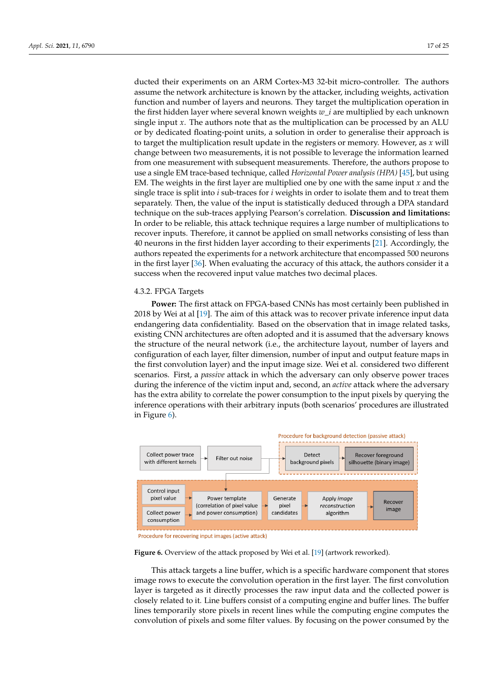ducted their experiments on an ARM Cortex-M3 32-bit micro-controller. The authors assume the network architecture is known by the attacker, including weights, activation function and number of layers and neurons. They target the multiplication operation in the first hidden layer where several known weights *w*\_*i* are multiplied by each unknown single input *x*. The authors note that as the multiplication can be processed by an ALU or by dedicated floating-point units, a solution in order to generalise their approach is to target the multiplication result update in the registers or memory. However, as *x* will change between two measurements, it is not possible to leverage the information learned from one measurement with subsequent measurements. Therefore, the authors propose to use a single EM trace-based technique, called *Horizontal Power analysis (HPA)* [\[45\]](#page-24-0), but using EM. The weights in the first layer are multiplied one by one with the same input *x* and the single trace is split into *i* sub-traces for *i* weights in order to isolate them and to treat them separately. Then, the value of the input is statistically deduced through a DPA standard technique on the sub-traces applying Pearson's correlation. **Discussion and limitations:** In order to be reliable, this attack technique requires a large number of multiplications to recover inputs. Therefore, it cannot be applied on small networks consisting of less than 40 neurons in the first hidden layer according to their experiments [\[21\]](#page-23-1). Accordingly, the authors repeated the experiments for a network architecture that encompassed 500 neurons in the first layer [\[36\]](#page-23-24). When evaluating the accuracy of this attack, the authors consider it a success when the recovered input value matches two decimal places.

# 4.3.2. FPGA Targets

**Power:** The first attack on FPGA-based CNNs has most certainly been published in 2018 by Wei at al [\[19\]](#page-22-15). The aim of this attack was to recover private inference input data endangering data confidentiality. Based on the observation that in image related tasks, existing CNN architectures are often adopted and it is assumed that the adversary knows the structure of the neural network (i.e., the architecture layout, number of layers and configuration of each layer, filter dimension, number of input and output feature maps in the first convolution layer) and the input image size. Wei et al. considered two different scenarios. First, a *passive* attack in which the adversary can only observe power traces during the inference of the victim input and, second, an *active* attack where the adversary has the extra ability to correlate the power consumption to the input pixels by querying the inference operations with their arbitrary inputs (both scenarios' procedures are illustrated in Figure [6\)](#page-16-0).

<span id="page-16-0"></span>

Procedure for recovering input images (active attack)

Figure 6. Overview of the attack proposed by Wei et al. [\[19\]](#page-22-15) (artwork reworked).

This attack targets a line buffer, which is a specific hardware component that stores image rows to execute the convolution operation in the first layer. The first convolution layer is targeted as it directly processes the raw input data and the collected power is closely related to it. Line buffers consist of a computing engine and buffer lines. The buffer lines temporarily store pixels in recent lines while the computing engine computes the convolution of pixels and some filter values. By focusing on the power consumed by the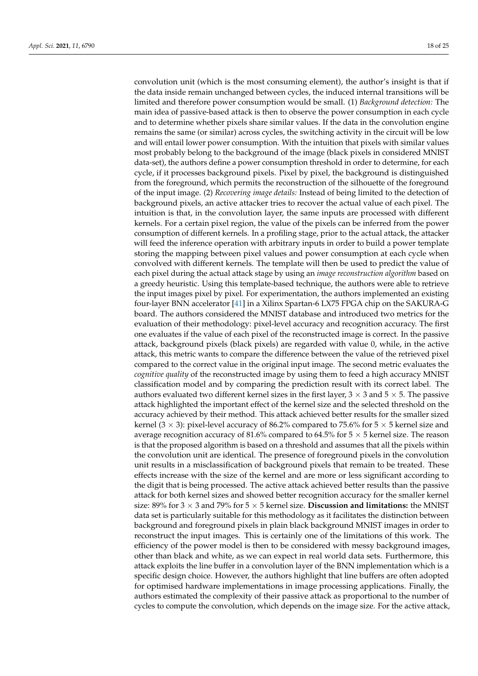convolution unit (which is the most consuming element), the author's insight is that if the data inside remain unchanged between cycles, the induced internal transitions will be limited and therefore power consumption would be small. (1) *Background detection:* The main idea of passive-based attack is then to observe the power consumption in each cycle and to determine whether pixels share similar values. If the data in the convolution engine remains the same (or similar) across cycles, the switching activity in the circuit will be low and will entail lower power consumption. With the intuition that pixels with similar values most probably belong to the background of the image (black pixels in considered MNIST data-set), the authors define a power consumption threshold in order to determine, for each cycle, if it processes background pixels. Pixel by pixel, the background is distinguished from the foreground, which permits the reconstruction of the silhouette of the foreground of the input image. (2) *Recovering image details:* Instead of being limited to the detection of background pixels, an active attacker tries to recover the actual value of each pixel. The intuition is that, in the convolution layer, the same inputs are processed with different kernels. For a certain pixel region, the value of the pixels can be inferred from the power consumption of different kernels. In a profiling stage, prior to the actual attack, the attacker will feed the inference operation with arbitrary inputs in order to build a power template storing the mapping between pixel values and power consumption at each cycle when convolved with different kernels. The template will then be used to predict the value of each pixel during the actual attack stage by using an *image reconstruction algorithm* based on a greedy heuristic. Using this template-based technique, the authors were able to retrieve the input images pixel by pixel. For experimentation, the authors implemented an existing four-layer BNN accelerator [\[41\]](#page-23-33) in a Xilinx Spartan-6 LX75 FPGA chip on the SAKURA-G board. The authors considered the MNIST database and introduced two metrics for the evaluation of their methodology: pixel-level accuracy and recognition accuracy. The first one evaluates if the value of each pixel of the reconstructed image is correct. In the passive attack, background pixels (black pixels) are regarded with value 0, while, in the active attack, this metric wants to compare the difference between the value of the retrieved pixel compared to the correct value in the original input image. The second metric evaluates the *cognitive quality* of the reconstructed image by using them to feed a high accuracy MNIST classification model and by comparing the prediction result with its correct label. The authors evaluated two different kernel sizes in the first layer,  $3 \times 3$  and  $5 \times 5$ . The passive attack highlighted the important effect of the kernel size and the selected threshold on the accuracy achieved by their method. This attack achieved better results for the smaller sized kernel (3  $\times$  3): pixel-level accuracy of 86.2% compared to 75.6% for 5  $\times$  5 kernel size and average recognition accuracy of 81.6% compared to 64.5% for  $5 \times 5$  kernel size. The reason is that the proposed algorithm is based on a threshold and assumes that all the pixels within the convolution unit are identical. The presence of foreground pixels in the convolution unit results in a misclassification of background pixels that remain to be treated. These effects increase with the size of the kernel and are more or less significant according to the digit that is being processed. The active attack achieved better results than the passive attack for both kernel sizes and showed better recognition accuracy for the smaller kernel size:  $89\%$  for  $3 \times 3$  and  $79\%$  for  $5 \times 5$  kernel size. **Discussion and limitations:** the MNIST data set is particularly suitable for this methodology as it facilitates the distinction between background and foreground pixels in plain black background MNIST images in order to reconstruct the input images. This is certainly one of the limitations of this work. The efficiency of the power model is then to be considered with messy background images, other than black and white, as we can expect in real world data sets. Furthermore, this attack exploits the line buffer in a convolution layer of the BNN implementation which is a specific design choice. However, the authors highlight that line buffers are often adopted for optimised hardware implementations in image processing applications. Finally, the authors estimated the complexity of their passive attack as proportional to the number of cycles to compute the convolution, which depends on the image size. For the active attack,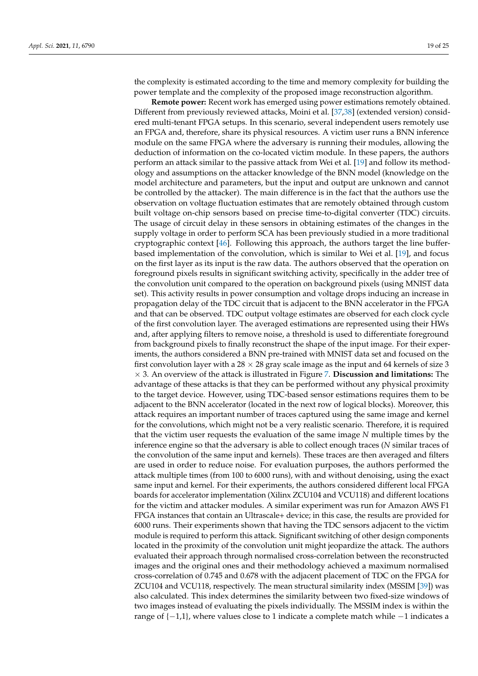the complexity is estimated according to the time and memory complexity for building the power template and the complexity of the proposed image reconstruction algorithm.

**Remote power:** Recent work has emerged using power estimations remotely obtained. Different from previously reviewed attacks, Moini et al. [\[37,](#page-23-30)[38\]](#page-23-25) (extended version) considered multi-tenant FPGA setups. In this scenario, several independent users remotely use an FPGA and, therefore, share its physical resources. A victim user runs a BNN inference module on the same FPGA where the adversary is running their modules, allowing the deduction of information on the co-located victim module. In these papers, the authors perform an attack similar to the passive attack from Wei et al. [\[19\]](#page-22-15) and follow its methodology and assumptions on the attacker knowledge of the BNN model (knowledge on the model architecture and parameters, but the input and output are unknown and cannot be controlled by the attacker). The main difference is in the fact that the authors use the observation on voltage fluctuation estimates that are remotely obtained through custom built voltage on-chip sensors based on precise time-to-digital converter (TDC) circuits. The usage of circuit delay in these sensors in obtaining estimates of the changes in the supply voltage in order to perform SCA has been previously studied in a more traditional cryptographic context [\[46\]](#page-24-1). Following this approach, the authors target the line bufferbased implementation of the convolution, which is similar to Wei et al. [\[19\]](#page-22-15), and focus on the first layer as its input is the raw data. The authors observed that the operation on foreground pixels results in significant switching activity, specifically in the adder tree of the convolution unit compared to the operation on background pixels (using MNIST data set). This activity results in power consumption and voltage drops inducing an increase in propagation delay of the TDC circuit that is adjacent to the BNN accelerator in the FPGA and that can be observed. TDC output voltage estimates are observed for each clock cycle of the first convolution layer. The averaged estimations are represented using their HWs and, after applying filters to remove noise, a threshold is used to differentiate foreground from background pixels to finally reconstruct the shape of the input image. For their experiments, the authors considered a BNN pre-trained with MNIST data set and focused on the first convolution layer with a  $28 \times 28$  gray scale image as the input and 64 kernels of size 3 × 3. An overview of the attack is illustrated in Figure [7.](#page-19-1) **Discussion and limitations:** The advantage of these attacks is that they can be performed without any physical proximity to the target device. However, using TDC-based sensor estimations requires them to be adjacent to the BNN accelerator (located in the next row of logical blocks). Moreover, this attack requires an important number of traces captured using the same image and kernel for the convolutions, which might not be a very realistic scenario. Therefore, it is required that the victim user requests the evaluation of the same image *N* multiple times by the inference engine so that the adversary is able to collect enough traces (*N* similar traces of the convolution of the same input and kernels). These traces are then averaged and filters are used in order to reduce noise. For evaluation purposes, the authors performed the attack multiple times (from 100 to 6000 runs), with and without denoising, using the exact same input and kernel. For their experiments, the authors considered different local FPGA boards for accelerator implementation (Xilinx ZCU104 and VCU118) and different locations for the victim and attacker modules. A similar experiment was run for Amazon AWS F1 FPGA instances that contain an Ultrascale+ device; in this case, the results are provided for 6000 runs. Their experiments shown that having the TDC sensors adjacent to the victim module is required to perform this attack. Significant switching of other design components located in the proximity of the convolution unit might jeopardize the attack. The authors evaluated their approach through normalised cross-correlation between the reconstructed images and the original ones and their methodology achieved a maximum normalised cross-correlation of 0.745 and 0.678 with the adjacent placement of TDC on the FPGA for ZCU104 and VCU118, respectively. The mean structural similarity index (MSSIM [\[39\]](#page-23-31)) was also calculated. This index determines the similarity between two fixed-size windows of two images instead of evaluating the pixels individually. The MSSIM index is within the range of  $\{-1,1\}$ , where values close to 1 indicate a complete match while  $-1$  indicates a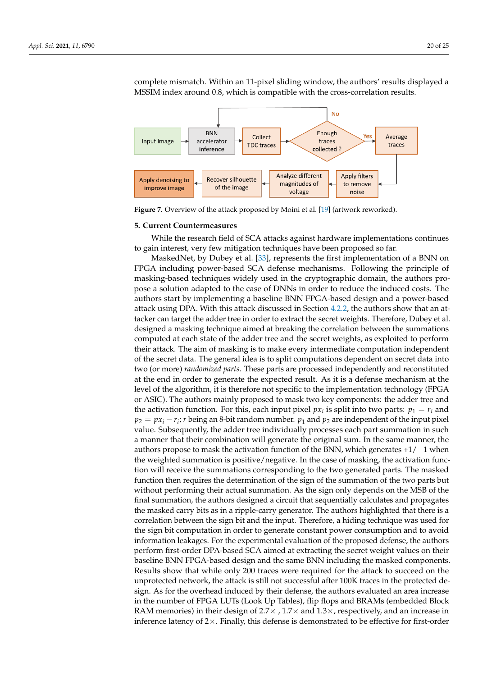complete mismatch. Within an 11-pixel sliding window, the authors' results displayed a MSSIM index around 0.8, which is compatible with the cross-correlation results.

<span id="page-19-1"></span>

**Figure 7.** Overview of the attack proposed by Moini et al. [\[19\]](#page-22-15) (artwork reworked).

## <span id="page-19-0"></span>**5. Current Countermeasures**

While the research field of SCA attacks against hardware implementations continues to gain interest, very few mitigation techniques have been proposed so far.

MaskedNet, by Dubey et al. [\[33\]](#page-23-29), represents the first implementation of a BNN on FPGA including power-based SCA defense mechanisms. Following the principle of masking-based techniques widely used in the cryptographic domain, the authors propose a solution adapted to the case of DNNs in order to reduce the induced costs. The authors start by implementing a baseline BNN FPGA-based design and a power-based attack using DPA. With this attack discussed in Section [4.2.2,](#page-13-1) the authors show that an attacker can target the adder tree in order to extract the secret weights. Therefore, Dubey et al. designed a masking technique aimed at breaking the correlation between the summations computed at each state of the adder tree and the secret weights, as exploited to perform their attack. The aim of masking is to make every intermediate computation independent of the secret data. The general idea is to split computations dependent on secret data into two (or more) *randomized parts*. These parts are processed independently and reconstituted at the end in order to generate the expected result. As it is a defense mechanism at the level of the algorithm, it is therefore not specific to the implementation technology (FPGA or ASIC). The authors mainly proposed to mask two key components: the adder tree and the activation function. For this, each input pixel  $px_i$  is split into two parts:  $p_1 = r_i$  and  $p_2 = px_i - r_i$ ; *r* being an 8-bit random number.  $p_1$  and  $p_2$  are independent of the input pixel value. Subsequently, the adder tree individually processes each part summation in such a manner that their combination will generate the original sum. In the same manner, the authors propose to mask the activation function of the BNN, which generates  $+1/-1$  when the weighted summation is positive/negative. In the case of masking, the activation function will receive the summations corresponding to the two generated parts. The masked function then requires the determination of the sign of the summation of the two parts but without performing their actual summation. As the sign only depends on the MSB of the final summation, the authors designed a circuit that sequentially calculates and propagates the masked carry bits as in a ripple-carry generator. The authors highlighted that there is a correlation between the sign bit and the input. Therefore, a hiding technique was used for the sign bit computation in order to generate constant power consumption and to avoid information leakages. For the experimental evaluation of the proposed defense, the authors perform first-order DPA-based SCA aimed at extracting the secret weight values on their baseline BNN FPGA-based design and the same BNN including the masked components. Results show that while only 200 traces were required for the attack to succeed on the unprotected network, the attack is still not successful after 100K traces in the protected design. As for the overhead induced by their defense, the authors evaluated an area increase in the number of FPGA LUTs (Look Up Tables), flip flops and BRAMs (embedded Block RAM memories) in their design of  $2.7 \times$  ,  $1.7 \times$  and  $1.3 \times$ , respectively, and an increase in inference latency of  $2\times$ . Finally, this defense is demonstrated to be effective for first-order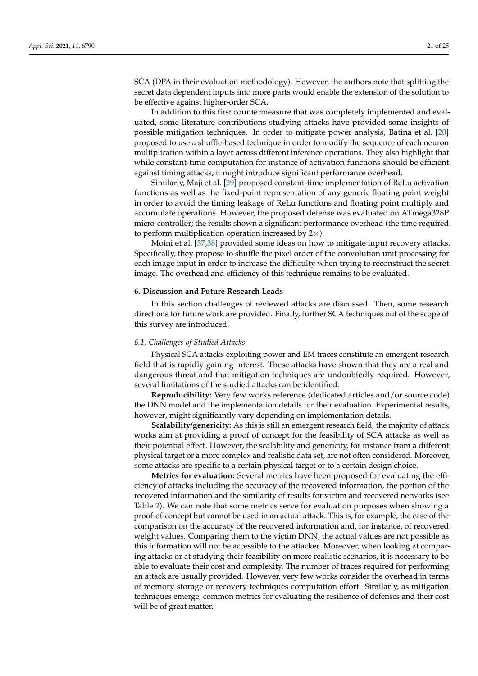SCA (DPA in their evaluation methodology). However, the authors note that splitting the secret data dependent inputs into more parts would enable the extension of the solution to be effective against higher-order SCA.

In addition to this first countermeasure that was completely implemented and evaluated, some literature contributions studying attacks have provided some insights of possible mitigation techniques. In order to mitigate power analysis, Batina et al. [\[20\]](#page-23-0) proposed to use a shuffle-based technique in order to modify the sequence of each neuron multiplication within a layer across different inference operations. They also highlight that while constant-time computation for instance of activation functions should be efficient against timing attacks, it might introduce significant performance overhead.

Similarly, Maji et al. [\[29\]](#page-23-22) proposed constant-time implementation of ReLu activation functions as well as the fixed-point representation of any generic floating point weight in order to avoid the timing leakage of ReLu functions and floating point multiply and accumulate operations. However, the proposed defense was evaluated on ATmega328P micro-controller; the results shown a significant performance overhead (the time required to perform multiplication operation increased by  $2\times$ ).

Moini et al. [\[37,](#page-23-30)[38\]](#page-23-25) provided some ideas on how to mitigate input recovery attacks. Specifically, they propose to shuffle the pixel order of the convolution unit processing for each image input in order to increase the difficulty when trying to reconstruct the secret image. The overhead and efficiency of this technique remains to be evaluated.

#### <span id="page-20-0"></span>**6. Discussion and Future Research Leads**

In this section challenges of reviewed attacks are discussed. Then, some research directions for future work are provided. Finally, further SCA techniques out of the scope of this survey are introduced.

#### *6.1. Challenges of Studied Attacks*

Physical SCA attacks exploiting power and EM traces constitute an emergent research field that is rapidly gaining interest. These attacks have shown that they are a real and dangerous threat and that mitigation techniques are undoubtedly required. However, several limitations of the studied attacks can be identified.

**Reproducibility:** Very few works reference (dedicated articles and/or source code) the DNN model and the implementation details for their evaluation. Experimental results, however, might significantly vary depending on implementation details.

**Scalability/genericity:** As this is still an emergent research field, the majority of attack works aim at providing a proof of concept for the feasibility of SCA attacks as well as their potential effect. However, the scalability and genericity, for instance from a different physical target or a more complex and realistic data set, are not often considered. Moreover, some attacks are specific to a certain physical target or to a certain design choice.

**Metrics for evaluation:** Several metrics have been proposed for evaluating the efficiency of attacks including the accuracy of the recovered information, the portion of the recovered information and the similarity of results for victim and recovered networks (see Table [2\)](#page-11-0). We can note that some metrics serve for evaluation purposes when showing a proof-of-concept but cannot be used in an actual attack. This is, for example, the case of the comparison on the accuracy of the recovered information and, for instance, of recovered weight values. Comparing them to the victim DNN, the actual values are not possible as this information will not be accessible to the attacker. Moreover, when looking at comparing attacks or at studying their feasibility on more realistic scenarios, it is necessary to be able to evaluate their cost and complexity. The number of traces required for performing an attack are usually provided. However, very few works consider the overhead in terms of memory storage or recovery techniques computation effort. Similarly, as mitigation techniques emerge, common metrics for evaluating the resilience of defenses and their cost will be of great matter.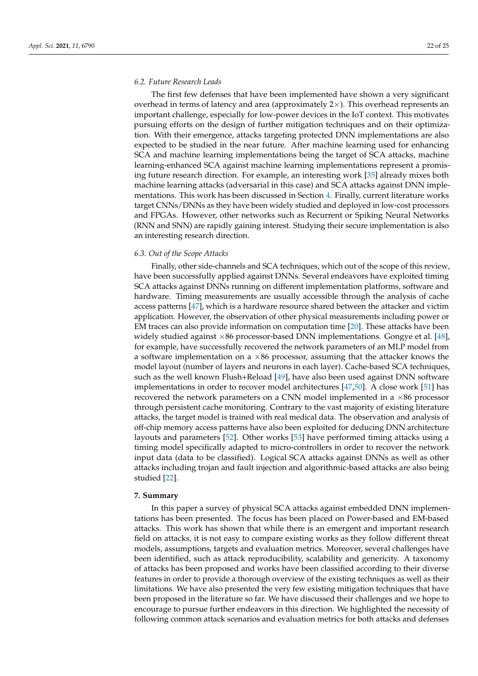#### *6.2. Future Research Leads*

The first few defenses that have been implemented have shown a very significant overhead in terms of latency and area (approximately  $2\times$ ). This overhead represents an important challenge, especially for low-power devices in the IoT context. This motivates pursuing efforts on the design of further mitigation techniques and on their optimization. With their emergence, attacks targeting protected DNN implementations are also expected to be studied in the near future. After machine learning used for enhancing SCA and machine learning implementations being the target of SCA attacks, machine learning-enhanced SCA against machine learning implementations represent a promising future research direction. For example, an interesting work [\[35\]](#page-23-23) already mixes both machine learning attacks (adversarial in this case) and SCA attacks against DNN implementations. This work has been discussed in Section [4.](#page-6-0) Finally, current literature works target CNNs/DNNs as they have been widely studied and deployed in low-cost processors and FPGAs. However, other networks such as Recurrent or Spiking Neural Networks (RNN and SNN) are rapidly gaining interest. Studying their secure implementation is also an interesting research direction.

#### *6.3. Out of the Scope Attacks*

Finally, other side-channels and SCA techniques, which out of the scope of this review, have been successfully applied against DNNs. Several endeavors have exploited timing SCA attacks against DNNs running on different implementation platforms, software and hardware. Timing measurements are usually accessible through the analysis of cache access patterns [\[47\]](#page-24-2), which is a hardware resource shared between the attacker and victim application. However, the observation of other physical measurements including power or EM traces can also provide information on computation time [\[20\]](#page-23-0). These attacks have been widely studied against ×86 processor-based DNN implementations. Gongye et al. [\[48\]](#page-24-3), for example, have successfully recovered the network parameters of an MLP model from a software implementation on a  $\times 86$  processor, assuming that the attacker knows the model layout (number of layers and neurons in each layer). Cache-based SCA techniques, such as the well known Flush+Reload [\[49\]](#page-24-4), have also been used against DNN software implementations in order to recover model architectures [\[47](#page-24-2)[,50\]](#page-24-5). A close work [\[51\]](#page-24-6) has recovered the network parameters on a CNN model implemented in a  $\times 86$  processor through persistent cache monitoring. Contrary to the vast majority of existing literature attacks, the target model is trained with real medical data. The observation and analysis of off-chip memory access patterns have also been exploited for deducing DNN architecture layouts and parameters [\[52\]](#page-24-7). Other works [\[53\]](#page-24-8) have performed timing attacks using a timing model specifically adapted to micro-controllers in order to recover the network input data (data to be classified). Logical SCA attacks against DNNs as well as other attacks including trojan and fault injection and algorithmic-based attacks are also being studied [\[22\]](#page-23-2).

# <span id="page-21-0"></span>**7. Summary**

In this paper a survey of physical SCA attacks against embedded DNN implementations has been presented. The focus has been placed on Power-based and EM-based attacks. This work has shown that while there is an emergent and important research field on attacks, it is not easy to compare existing works as they follow different threat models, assumptions, targets and evaluation metrics. Moreover, several challenges have been identified, such as attack reproducibility, scalability and genericity. A taxonomy of attacks has been proposed and works have been classified according to their diverse features in order to provide a thorough overview of the existing techniques as well as their limitations. We have also presented the very few existing mitigation techniques that have been proposed in the literature so far. We have discussed their challenges and we hope to encourage to pursue further endeavors in this direction. We highlighted the necessity of following common attack scenarios and evaluation metrics for both attacks and defenses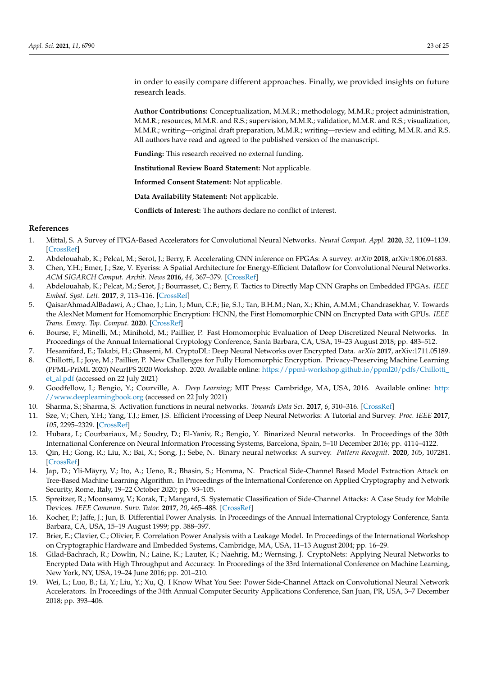in order to easily compare different approaches. Finally, we provided insights on future research leads.

**Author Contributions:** Conceptualization, M.M.R.; methodology, M.M.R.; project administration, M.M.R.; resources, M.M.R. and R.S.; supervision, M.M.R.; validation, M.M.R. and R.S.; visualization, M.M.R.; writing—original draft preparation, M.M.R.; writing—review and editing, M.M.R. and R.S. All authors have read and agreed to the published version of the manuscript.

**Funding:** This research received no external funding.

**Institutional Review Board Statement:** Not applicable.

**Informed Consent Statement:** Not applicable.

**Data Availability Statement:** Not applicable.

**Conflicts of Interest:** The authors declare no conflict of interest.

#### **References**

- <span id="page-22-0"></span>1. Mittal, S. A Survey of FPGA-Based Accelerators for Convolutional Neural Networks. *Neural Comput. Appl.* **2020**, *32*, 1109–1139. [\[CrossRef\]](http://doi.org/10.1007/s00521-018-3761-1)
- <span id="page-22-1"></span>2. Abdelouahab, K.; Pelcat, M.; Serot, J.; Berry, F. Accelerating CNN inference on FPGAs: A survey. *arXiv* **2018**, arXiv:1806.01683.
- <span id="page-22-17"></span>3. Chen, Y.H.; Emer, J.; Sze, V. Eyeriss: A Spatial Architecture for Energy-Efficient Dataflow for Convolutional Neural Networks. *ACM SIGARCH Comput. Archit. News* **2016**, *44*, 367–379. [\[CrossRef\]](http://dx.doi.org/10.1145/3007787.3001177)
- <span id="page-22-2"></span>4. Abdelouahab, K.; Pelcat, M.; Serot, J.; Bourrasset, C.; Berry, F. Tactics to Directly Map CNN Graphs on Embedded FPGAs. *IEEE Embed. Syst. Lett.* **2017**, *9*, 113–116. [\[CrossRef\]](http://dx.doi.org/10.1109/LES.2017.2743247)
- <span id="page-22-3"></span>5. QaisarAhmadAlBadawi, A.; Chao, J.; Lin, J.; Mun, C.F.; Jie, S.J.; Tan, B.H.M.; Nan, X.; Khin, A.M.M.; Chandrasekhar, V. Towards the AlexNet Moment for Homomorphic Encryption: HCNN, the First Homomorphic CNN on Encrypted Data with GPUs. *IEEE Trans. Emerg. Top. Comput.* **2020**. [\[CrossRef\]](http://dx.doi.org/10.1109/TETC.2020.3014636)
- 6. Bourse, F.; Minelli, M.; Minihold, M.; Paillier, P. Fast Homomorphic Evaluation of Deep Discretized Neural Networks. In Proceedings of the Annual International Cryptology Conference, Santa Barbara, CA, USA, 19–23 August 2018; pp. 483–512.
- 7. Hesamifard, E.; Takabi, H.; Ghasemi, M. CryptoDL: Deep Neural Networks over Encrypted Data. *arXiv* **2017**, arXiv:1711.05189.
- <span id="page-22-4"></span>8. Chillotti, I.; Joye, M.; Paillier, P. New Challenges for Fully Homomorphic Encryption. Privacy-Preserving Machine Learning (PPML-PriML 2020) NeurIPS 2020 Workshop. 2020. Available online: [https://ppml-workshop.github.io/ppml20/pdfs/Chillotti\\_](https://ppml-workshop.github.io/ppml20/pdfs/Chillotti_et_al.pdf) [et\\_al.pdf](https://ppml-workshop.github.io/ppml20/pdfs/Chillotti_et_al.pdf) (accessed on 22 July 2021)
- <span id="page-22-16"></span><span id="page-22-5"></span>9. Goodfellow, I.; Bengio, Y.; Courville, A. *Deep Learning*; MIT Press: Cambridge, MA, USA, 2016. Available online: [http:](http://www.deeplearningbook.org) [//www.deeplearningbook.org](http://www.deeplearningbook.org) (accessed on 22 July 2021)
- <span id="page-22-6"></span>10. Sharma, S.; Sharma, S. Activation functions in neural networks. *Towards Data Sci.* **2017**, *6*, 310–316. [\[CrossRef\]](http://dx.doi.org/10.33564/IJEAST.2020.v04i12.054)
- <span id="page-22-7"></span>11. Sze, V.; Chen, Y.H.; Yang, T.J.; Emer, J.S. Efficient Processing of Deep Neural Networks: A Tutorial and Survey. *Proc. IEEE* **2017**, *105*, 2295–2329. [\[CrossRef\]](http://dx.doi.org/10.1109/JPROC.2017.2761740)
- <span id="page-22-8"></span>12. Hubara, I.; Courbariaux, M.; Soudry, D.; El-Yaniv, R.; Bengio, Y. Binarized Neural networks. In Proceedings of the 30th International Conference on Neural Information Processing Systems, Barcelona, Spain, 5–10 December 2016; pp. 4114–4122.
- <span id="page-22-9"></span>13. Qin, H.; Gong, R.; Liu, X.; Bai, X.; Song, J.; Sebe, N. Binary neural networks: A survey. *Pattern Recognit.* **2020**, *105*, 107281. [\[CrossRef\]](http://dx.doi.org/10.1016/j.patcog.2020.107281)
- <span id="page-22-10"></span>14. Jap, D.; Yli-Mäyry, V.; Ito, A.; Ueno, R.; Bhasin, S.; Homma, N. Practical Side-Channel Based Model Extraction Attack on Tree-Based Machine Learning Algorithm. In Proceedings of the International Conference on Applied Cryptography and Network Security, Rome, Italy, 19–22 October 2020; pp. 93–105.
- <span id="page-22-11"></span>15. Spreitzer, R.; Moonsamy, V.; Korak, T.; Mangard, S. Systematic Classification of Side-Channel Attacks: A Case Study for Mobile Devices. *IEEE Commun. Surv. Tutor.* **2017**, *20*, 465–488. [\[CrossRef\]](http://dx.doi.org/10.1109/COMST.2017.2779824)
- <span id="page-22-12"></span>16. Kocher, P.; Jaffe, J.; Jun, B. Differential Power Analysis. In Proceedings of the Annual International Cryptology Conference, Santa Barbara, CA, USA, 15–19 August 1999; pp. 388–397.
- <span id="page-22-13"></span>17. Brier, E.; Clavier, C.; Olivier, F. Correlation Power Analysis with a Leakage Model. In Proceedings of the International Workshop on Cryptographic Hardware and Embedded Systems, Cambridge, MA, USA, 11–13 August 2004; pp. 16–29.
- <span id="page-22-14"></span>18. Gilad-Bachrach, R.; Dowlin, N.; Laine, K.; Lauter, K.; Naehrig, M.; Wernsing, J. CryptoNets: Applying Neural Networks to Encrypted Data with High Throughput and Accuracy. In Proceedings of the 33rd International Conference on Machine Learning, New York, NY, USA, 19–24 June 2016; pp. 201–210.
- <span id="page-22-15"></span>19. Wei, L.; Luo, B.; Li, Y.; Liu, Y.; Xu, Q. I Know What You See: Power Side-Channel Attack on Convolutional Neural Network Accelerators. In Proceedings of the 34th Annual Computer Security Applications Conference, San Juan, PR, USA, 3–7 December 2018; pp. 393–406.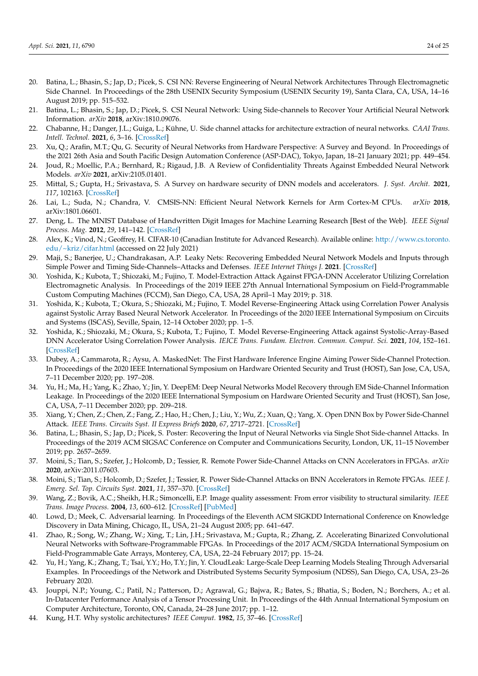- <span id="page-23-17"></span><span id="page-23-11"></span><span id="page-23-10"></span><span id="page-23-9"></span><span id="page-23-0"></span>20. Batina, L.; Bhasin, S.; Jap, D.; Picek, S. CSI NN: Reverse Engineering of Neural Network Architectures Through Electromagnetic Side Channel. In Proceedings of the 28th USENIX Security Symposium (USENIX Security 19), Santa Clara, CA, USA, 14–16 August 2019; pp. 515–532.
- <span id="page-23-12"></span><span id="page-23-1"></span>21. Batina, L.; Bhasin, S.; Jap, D.; Picek, S. CSI Neural Network: Using Side-channels to Recover Your Artificial Neural Network Information. *arXiv* **2018**, arXiv:1810.09076.
- <span id="page-23-13"></span><span id="page-23-2"></span>22. Chabanne, H.; Danger, J.L.; Guiga, L.; Kühne, U. Side channel attacks for architecture extraction of neural networks. *CAAI Trans. Intell. Technol.* **2021**, *6*, 3–16. [\[CrossRef\]](http://dx.doi.org/10.1049/cit2.12026)
- <span id="page-23-3"></span>23. Xu, Q.; Arafin, M.T.; Qu, G. Security of Neural Networks from Hardware Perspective: A Survey and Beyond. In Proceedings of the 2021 26th Asia and South Pacific Design Automation Conference (ASP-DAC), Tokyo, Japan, 18–21 January 2021; pp. 449–454.
- <span id="page-23-14"></span><span id="page-23-4"></span>24. Joud, R.; Moellic, P.A.; Bernhard, R.; Rigaud, J.B. A Review of Confidentiality Threats Against Embedded Neural Network Models. *arXiv* **2021**, arXiv:2105.01401.
- <span id="page-23-15"></span><span id="page-23-5"></span>25. Mittal, S.; Gupta, H.; Srivastava, S. A Survey on hardware security of DNN models and accelerators. *J. Syst. Archit.* **2021**, *117*, 102163. [\[CrossRef\]](http://dx.doi.org/10.1016/j.sysarc.2021.102163)
- <span id="page-23-6"></span>26. Lai, L.; Suda, N.; Chandra, V. CMSIS-NN: Efficient Neural Network Kernels for Arm Cortex-M CPUs. *arXiv* **2018**, arXiv:1801.06601.
- <span id="page-23-16"></span><span id="page-23-7"></span>27. Deng, L. The MNIST Database of Handwritten Digit Images for Machine Learning Research [Best of the Web]. *IEEE Signal Process. Mag.* **2012**, *29*, 141–142. [\[CrossRef\]](http://dx.doi.org/10.1109/MSP.2012.2211477)
- <span id="page-23-18"></span><span id="page-23-8"></span>28. Alex, K.; Vinod, N.; Geoffrey, H. CIFAR-10 (Canadian Institute for Advanced Research). Available online: [http://www.cs.toronto.](http://www.cs.toronto.edu/~kriz/cifar.html) [edu/~kriz/cifar.html](http://www.cs.toronto.edu/~kriz/cifar.html) (accessed on 22 July 2021)
- <span id="page-23-22"></span><span id="page-23-19"></span>29. Maji, S.; Banerjee, U.; Chandrakasan, A.P. Leaky Nets: Recovering Embedded Neural Network Models and Inputs through Simple Power and Timing Side-Channels–Attacks and Defenses. *IEEE Internet Things J.* **2021**. [\[CrossRef\]](http://dx.doi.org/10.1109/JIOT.2021.3061314)
- <span id="page-23-26"></span><span id="page-23-20"></span>30. Yoshida, K.; Kubota, T.; Shiozaki, M.; Fujino, T. Model-Extraction Attack Against FPGA-DNN Accelerator Utilizing Correlation Electromagnetic Analysis. In Proceedings of the 2019 IEEE 27th Annual International Symposium on Field-Programmable Custom Computing Machines (FCCM), San Diego, CA, USA, 28 April–1 May 2019; p. 318.
- <span id="page-23-27"></span>31. Yoshida, K.; Kubota, T.; Okura, S.; Shiozaki, M.; Fujino, T. Model Reverse-Engineering Attack using Correlation Power Analysis against Systolic Array Based Neural Network Accelerator. In Proceedings of the 2020 IEEE International Symposium on Circuits and Systems (ISCAS), Seville, Spain, 12–14 October 2020; pp. 1–5.
- <span id="page-23-28"></span>32. Yoshida, K.; Shiozaki, M.; Okura, S.; Kubota, T.; Fujino, T. Model Reverse-Engineering Attack against Systolic-Array-Based DNN Accelerator Using Correlation Power Analysis. *IEICE Trans. Fundam. Electron. Commun. Comput. Sci.* **2021**, *104*, 152–161. [\[CrossRef\]](http://dx.doi.org/10.1587/transfun.2020CIP0024)
- <span id="page-23-29"></span>33. Dubey, A.; Cammarota, R.; Aysu, A. MaskedNet: The First Hardware Inference Engine Aiming Power Side-Channel Protection. In Proceedings of the 2020 IEEE International Symposium on Hardware Oriented Security and Trust (HOST), San Jose, CA, USA, 7–11 December 2020; pp. 197–208.
- <span id="page-23-21"></span>34. Yu, H.; Ma, H.; Yang, K.; Zhao, Y.; Jin, Y. DeepEM: Deep Neural Networks Model Recovery through EM Side-Channel Information Leakage. In Proceedings of the 2020 IEEE International Symposium on Hardware Oriented Security and Trust (HOST), San Jose, CA, USA, 7–11 December 2020; pp. 209–218.
- <span id="page-23-23"></span>35. Xiang, Y.; Chen, Z.; Chen, Z.; Fang, Z.; Hao, H.; Chen, J.; Liu, Y.; Wu, Z.; Xuan, Q.; Yang, X. Open DNN Box by Power Side-Channel Attack. *IEEE Trans. Circuits Syst. II Express Briefs* **2020**, *67*, 2717–2721. [\[CrossRef\]](http://dx.doi.org/10.1109/TCSII.2020.2973007)
- <span id="page-23-24"></span>36. Batina, L.; Bhasin, S.; Jap, D.; Picek, S. Poster: Recovering the Input of Neural Networks via Single Shot Side-channel Attacks. In Proceedings of the 2019 ACM SIGSAC Conference on Computer and Communications Security, London, UK, 11–15 November 2019; pp. 2657–2659.
- <span id="page-23-30"></span>37. Moini, S.; Tian, S.; Szefer, J.; Holcomb, D.; Tessier, R. Remote Power Side-Channel Attacks on CNN Accelerators in FPGAs. *arXiv* **2020**, arXiv:2011.07603.
- <span id="page-23-25"></span>38. Moini, S.; Tian, S.; Holcomb, D.; Szefer, J.; Tessier, R. Power Side-Channel Attacks on BNN Accelerators in Remote FPGAs. *IEEE J. Emerg. Sel. Top. Circuits Syst.* **2021**, *11*, 357–370. [\[CrossRef\]](http://dx.doi.org/10.1109/JETCAS.2021.3074608)
- <span id="page-23-31"></span>39. Wang, Z.; Bovik, A.C.; Sheikh, H.R.; Simoncelli, E.P. Image quality assessment: From error visibility to structural similarity. *IEEE Trans. Image Process.* **2004**, *13*, 600–612. [\[CrossRef\]](http://dx.doi.org/10.1109/TIP.2003.819861) [\[PubMed\]](http://www.ncbi.nlm.nih.gov/pubmed/15376593)
- <span id="page-23-32"></span>40. Lowd, D.; Meek, C. Adversarial learning. In Proceedings of the Eleventh ACM SIGKDD International Conference on Knowledge Discovery in Data Mining, Chicago, IL, USA, 21–24 August 2005; pp. 641–647.
- <span id="page-23-33"></span>41. Zhao, R.; Song, W.; Zhang, W.; Xing, T.; Lin, J.H.; Srivastava, M.; Gupta, R.; Zhang, Z. Accelerating Binarized Convolutional Neural Networks with Software-Programmable FPGAs. In Proceedings of the 2017 ACM/SIGDA International Symposium on Field-Programmable Gate Arrays, Monterey, CA, USA, 22–24 February 2017; pp. 15–24.
- <span id="page-23-34"></span>42. Yu, H.; Yang, K.; Zhang, T.; Tsai, Y.Y.; Ho, T.Y.; Jin, Y. CloudLeak: Large-Scale Deep Learning Models Stealing Through Adversarial Examples. In Proceedings of the Network and Distributed Systems Security Symposium (NDSS), San Diego, CA, USA, 23–26 February 2020.
- <span id="page-23-35"></span>43. Jouppi, N.P.; Young, C.; Patil, N.; Patterson, D.; Agrawal, G.; Bajwa, R.; Bates, S.; Bhatia, S.; Boden, N.; Borchers, A.; et al. In-Datacenter Performance Analysis of a Tensor Processing Unit. In Proceedings of the 44th Annual International Symposium on Computer Architecture, Toronto, ON, Canada, 24–28 June 2017; pp. 1–12.
- <span id="page-23-36"></span>44. Kung, H.T. Why systolic architectures? *IEEE Comput.* **1982**, *15*, 37–46. [\[CrossRef\]](http://dx.doi.org/10.1109/MC.1982.1653825)